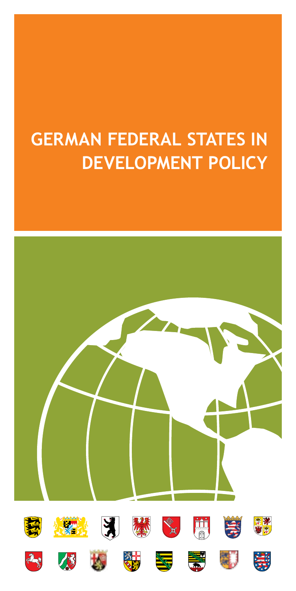# **German Federal States in Development Policy**

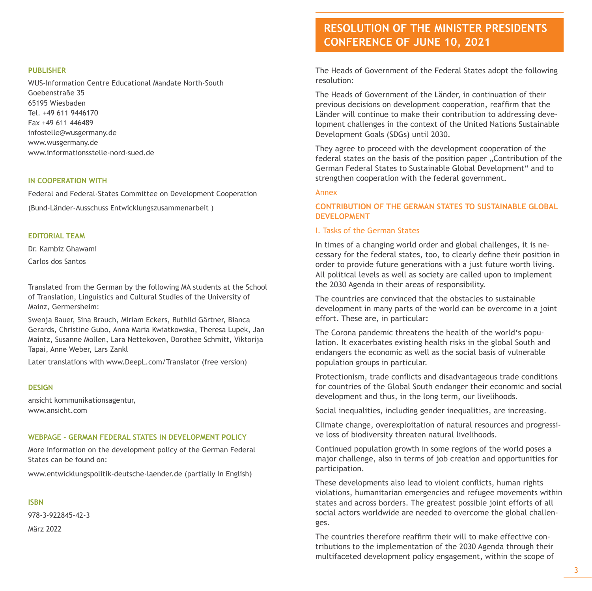#### **PUBLISHER**

WUS-Information Centre Educational Mandate North-South Goebenstraße 35 65195 Wiesbaden Tel. +49 611 9446170 Fax +49 611 446489 infostelle@wusgermany.de www.wusgermany.de www.informationsstelle-nord-sued.de

#### **in Cooperation with**

Federal and Federal-States Committee on Development Cooperation

(Bund-Länder-Ausschuss Entwicklungszusammenarbeit )

#### **editorial team**

Dr. Kambiz Ghawami Carlos dos Santos

Translated from the German by the following MA students at the School of Translation, Linguistics and Cultural Studies of the University of Mainz, Germersheim:

Swenja Bauer, Sina Brauch, Miriam Eckers, Ruthild Gärtner, Bianca Gerards, Christine Gubo, Anna Maria Kwiatkowska, Theresa Lupek, Jan Maintz, Susanne Mollen, Lara Nettekoven, Dorothee Schmitt, Viktorija Tapai, Anne Weber, Lars Zankl

Later translations with www.DeepL.com/Translator (free version)

#### **design**

ansicht kommunikationsagentur, www.ansicht.com

#### **webpage - german federal states in development policy**

More information on the development policy of the German Federal States can be found on:

www.entwicklungspolitik-deutsche-laender.de (partially in English)

#### **ISBN**

978-3-922845-42-3 März 2022

### **Resolution of the Minister Presidents Conference of June 10, 2021**

The Heads of Government of the Federal States adopt the following resolution:

The Heads of Government of the Länder, in continuation of their previous decisions on development cooperation, reaffirm that the Länder will continue to make their contribution to addressing development challenges in the context of the United Nations Sustainable Development Goals (SDGs) until 2030.

They agree to proceed with the development cooperation of the federal states on the basis of the position paper "Contribution of the German Federal States to Sustainable Global Development" and to strengthen cooperation with the federal government.

#### Annex

#### **CONTRIBUTION OF THE GERMAN STATES TO SUSTAINABLE GLOBAL DEVELOPMENT**

#### I. Tasks of the German States

In times of a changing world order and global challenges, it is necessary for the federal states, too, to clearly define their position in order to provide future generations with a just future worth living. All political levels as well as society are called upon to implement the 2030 Agenda in their areas of responsibility.

The countries are convinced that the obstacles to sustainable development in many parts of the world can be overcome in a joint effort. These are, in particular:

The Corona pandemic threatens the health of the world's population. It exacerbates existing health risks in the global South and endangers the economic as well as the social basis of vulnerable population groups in particular.

Protectionism, trade conflicts and disadvantageous trade conditions for countries of the Global South endanger their economic and social development and thus, in the long term, our livelihoods.

Social inequalities, including gender inequalities, are increasing.

Climate change, overexploitation of natural resources and progressive loss of biodiversity threaten natural livelihoods.

Continued population growth in some regions of the world poses a major challenge, also in terms of job creation and opportunities for participation.

These developments also lead to violent conflicts, human rights violations, humanitarian emergencies and refugee movements within states and across borders. The greatest possible joint efforts of all social actors worldwide are needed to overcome the global challenges.

The countries therefore reaffirm their will to make effective contributions to the implementation of the 2030 Agenda through their multifaceted development policy engagement, within the scope of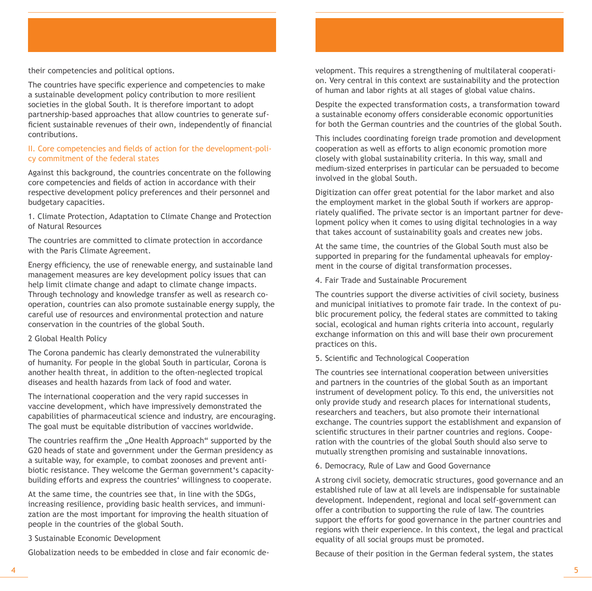their competencies and political options.

The countries have specific experience and competencies to make a sustainable development policy contribution to more resilient societies in the global South. It is therefore important to adopt partnership-based approaches that allow countries to generate sufficient sustainable revenues of their own, independently of financial contributions.

#### II. Core competencies and fields of action for the development-policy commitment of the federal states

Against this background, the countries concentrate on the following core competencies and fields of action in accordance with their respective development policy preferences and their personnel and budgetary capacities.

1. Climate Protection, Adaptation to Climate Change and Protection of Natural Resources

The countries are committed to climate protection in accordance with the Paris Climate Agreement.

Energy efficiency, the use of renewable energy, and sustainable land management measures are key development policy issues that can help limit climate change and adapt to climate change impacts. Through technology and knowledge transfer as well as research cooperation, countries can also promote sustainable energy supply, the careful use of resources and environmental protection and nature conservation in the countries of the global South.

#### 2 Global Health Policy

The Corona pandemic has clearly demonstrated the vulnerability of humanity. For people in the global South in particular, Corona is another health threat, in addition to the often-neglected tropical diseases and health hazards from lack of food and water.

The international cooperation and the very rapid successes in vaccine development, which have impressively demonstrated the capabilities of pharmaceutical science and industry, are encouraging. The goal must be equitable distribution of vaccines worldwide.

The countries reaffirm the "One Health Approach" supported by the G20 heads of state and government under the German presidency as a suitable way, for example, to combat zoonoses and prevent antibiotic resistance. They welcome the German government's capacitybuilding efforts and express the countries' willingness to cooperate.

At the same time, the countries see that, in line with the SDGs, increasing resilience, providing basic health services, and immunization are the most important for improving the health situation of people in the countries of the global South.

3 Sustainable Economic Development

Globalization needs to be embedded in close and fair economic de-

velopment. This requires a strengthening of multilateral cooperation. Very central in this context are sustainability and the protection of human and labor rights at all stages of global value chains.

Despite the expected transformation costs, a transformation toward a sustainable economy offers considerable economic opportunities for both the German countries and the countries of the global South.

This includes coordinating foreign trade promotion and development cooperation as well as efforts to align economic promotion more closely with global sustainability criteria. In this way, small and medium-sized enterprises in particular can be persuaded to become involved in the global South.

Digitization can offer great potential for the labor market and also the employment market in the global South if workers are appropriately qualified. The private sector is an important partner for development policy when it comes to using digital technologies in a way that takes account of sustainability goals and creates new jobs.

At the same time, the countries of the Global South must also be supported in preparing for the fundamental upheavals for employment in the course of digital transformation processes.

4. Fair Trade and Sustainable Procurement

The countries support the diverse activities of civil society, business and municipal initiatives to promote fair trade. In the context of public procurement policy, the federal states are committed to taking social, ecological and human rights criteria into account, regularly exchange information on this and will base their own procurement practices on this.

#### 5. Scientific and Technological Cooperation

The countries see international cooperation between universities and partners in the countries of the global South as an important instrument of development policy. To this end, the universities not only provide study and research places for international students, researchers and teachers, but also promote their international exchange. The countries support the establishment and expansion of scientific structures in their partner countries and regions. Cooperation with the countries of the global South should also serve to mutually strengthen promising and sustainable innovations.

6. Democracy, Rule of Law and Good Governance

A strong civil society, democratic structures, good governance and an established rule of law at all levels are indispensable for sustainable development. Independent, regional and local self-government can offer a contribution to supporting the rule of law. The countries support the efforts for good governance in the partner countries and regions with their experience. In this context, the legal and practical equality of all social groups must be promoted.

Because of their position in the German federal system, the states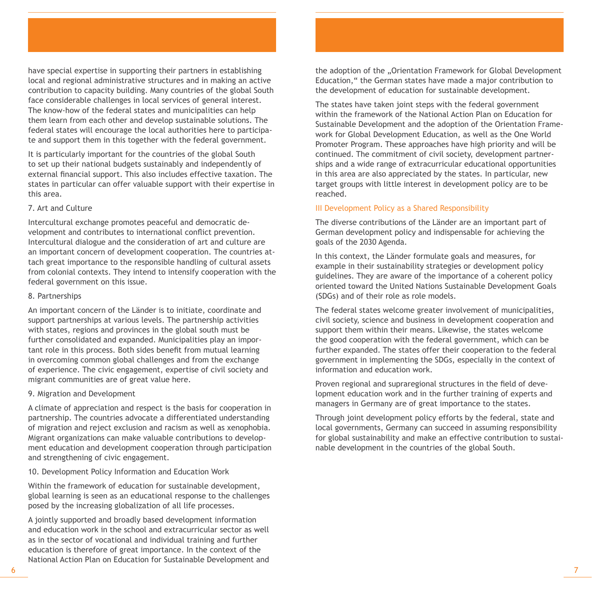have special expertise in supporting their partners in establishing local and regional administrative structures and in making an active contribution to capacity building. Many countries of the global South face considerable challenges in local services of general interest. The know-how of the federal states and municipalities can help them learn from each other and develop sustainable solutions. The federal states will encourage the local authorities here to participate and support them in this together with the federal government.

It is particularly important for the countries of the global South to set up their national budgets sustainably and independently of external financial support. This also includes effective taxation. The states in particular can offer valuable support with their expertise in this area.

#### 7. Art and Culture

Intercultural exchange promotes peaceful and democratic development and contributes to international conflict prevention. Intercultural dialogue and the consideration of art and culture are an important concern of development cooperation. The countries attach great importance to the responsible handling of cultural assets from colonial contexts. They intend to intensify cooperation with the federal government on this issue.

#### 8. Partnerships

An important concern of the Länder is to initiate, coordinate and support partnerships at various levels. The partnership activities with states, regions and provinces in the global south must be further consolidated and expanded. Municipalities play an important role in this process. Both sides benefit from mutual learning in overcoming common global challenges and from the exchange of experience. The civic engagement, expertise of civil society and migrant communities are of great value here.

#### 9. Migration and Development

A climate of appreciation and respect is the basis for cooperation in partnership. The countries advocate a differentiated understanding of migration and reject exclusion and racism as well as xenophobia. Migrant organizations can make valuable contributions to development education and development cooperation through participation and strengthening of civic engagement.

#### 10. Development Policy Information and Education Work

Within the framework of education for sustainable development, global learning is seen as an educational response to the challenges posed by the increasing globalization of all life processes.

A jointly supported and broadly based development information and education work in the school and extracurricular sector as well as in the sector of vocational and individual training and further education is therefore of great importance. In the context of the National Action Plan on Education for Sustainable Development and the adoption of the "Orientation Framework for Global Development Education," the German states have made a major contribution to the development of education for sustainable development.

The states have taken joint steps with the federal government within the framework of the National Action Plan on Education for Sustainable Development and the adoption of the Orientation Framework for Global Development Education, as well as the One World Promoter Program. These approaches have high priority and will be continued. The commitment of civil society, development partnerships and a wide range of extracurricular educational opportunities in this area are also appreciated by the states. In particular, new target groups with little interest in development policy are to be reached.

#### III Development Policy as a Shared Responsibility

The diverse contributions of the Länder are an important part of German development policy and indispensable for achieving the goals of the 2030 Agenda.

In this context, the Länder formulate goals and measures, for example in their sustainability strategies or development policy guidelines. They are aware of the importance of a coherent policy oriented toward the United Nations Sustainable Development Goals (SDGs) and of their role as role models.

The federal states welcome greater involvement of municipalities, civil society, science and business in development cooperation and support them within their means. Likewise, the states welcome the good cooperation with the federal government, which can be further expanded. The states offer their cooperation to the federal government in implementing the SDGs, especially in the context of information and education work.

Proven regional and supraregional structures in the field of development education work and in the further training of experts and managers in Germany are of great importance to the states.

Through joint development policy efforts by the federal, state and local governments, Germany can succeed in assuming responsibility for global sustainability and make an effective contribution to sustainable development in the countries of the global South.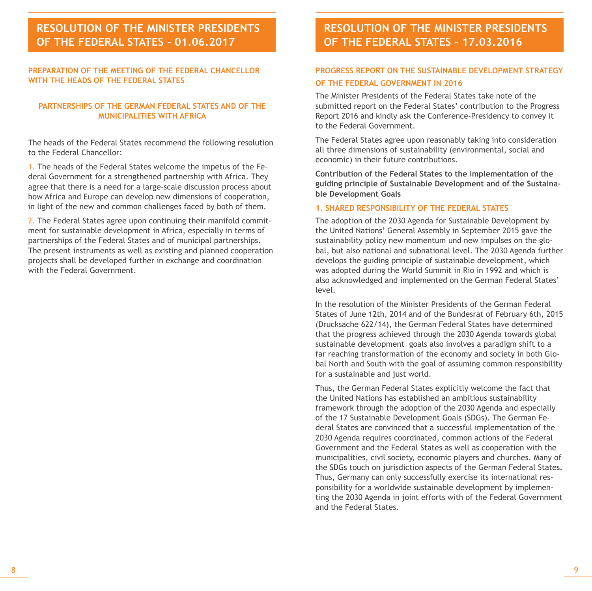### **Beschluss der Ministerpräsidenten-Resolution of the Minister Presidents OF THE FEDERAL STATES - 01.06.2017**

#### **Preparation of the meeting of the Federal Chancellor with the heads of the Federal States**

#### **Partnerships of the German Federal States and of the municipalities with Africa**

The heads of the Federal States recommend the following resolution to the Federal Chancellor:

1. The heads of the Federal States welcome the impetus of the Federal Government for a strengthened partnership with Africa. They agree that there is a need for a large-scale discussion process about how Africa and Europe can develop new dimensions of cooperation, in light of the new and common challenges faced by both of them.

2. The Federal States agree upon continuing their manifold commitment for sustainable development in Africa, especially in terms of partnerships of the Federal States and of municipal partnerships. The present instruments as well as existing and planned cooperation projects shall be developed further in exchange and coordination with the Federal Government.

### **resolution of the minister presidents of the federal states - 17.03.2016**

### **Progress Report on the Sustainable Development Strategy of the Federal Government in 2016**

The Minister Presidents of the Federal States take note of the submitted report on the Federal States' contribution to the Progress Report 2016 and kindly ask the Conference-Presidency to convey it to the Federal Government.

The Federal States agree upon reasonably taking into consideration all three dimensions of sustainability (environmental, social and economic) in their future contributions.

**Contribution of the Federal States to the implementation of the guiding principle of Sustainable Development and of the Sustainable Development Goals**

#### **1. Shared Responsibility of the Federal States**

The adoption of the 2030 Agenda for Sustainable Development by the United Nations' General Assembly in September 2015 gave the sustainability policy new momentum und new impulses on the global, but also national and subnational level. The 2030 Agenda further develops the guiding principle of sustainable development, which was adopted during the World Summit in Rio in 1992 and which is also acknowledged and implemented on the German Federal States' level.

In the resolution of the Minister Presidents of the German Federal States of June 12th, 2014 and of the Bundesrat of February 6th, 2015 (Drucksache 622/14), the German Federal States have determined that the progress achieved through the 2030 Agenda towards global sustainable development goals also involves a paradigm shift to a far reaching transformation of the economy and society in both Global North and South with the goal of assuming common responsibility for a sustainable and just world.

Thus, the German Federal States explicitly welcome the fact that the United Nations has established an ambitious sustainability framework through the adoption of the 2030 Agenda and especially of the 17 Sustainable Development Goals (SDGs). The German Federal States are convinced that a successful implementation of the 2030 Agenda requires coordinated, common actions of the Federal Government and the Federal States as well as cooperation with the municipalities, civil society, economic players and churches. Many of the SDGs touch on jurisdiction aspects of the German Federal States. Thus, Germany can only successfully exercise its international responsibility for a worldwide sustainable development by implementing the 2030 Agenda in joint efforts with of the Federal Government and the Federal States.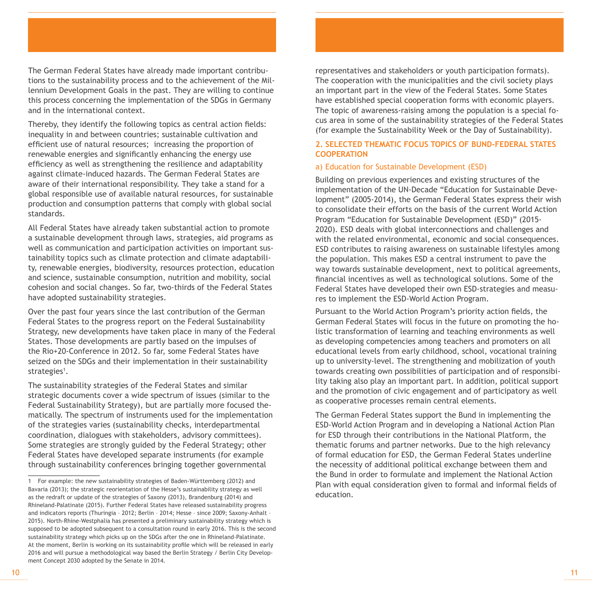The German Federal States have already made important contributions to the sustainability process and to the achievement of the Millennium Development Goals in the past. They are willing to continue this process concerning the implementation of the SDGs in Germany and in the international context.

Thereby, they identify the following topics as central action fields: inequality in and between countries; sustainable cultivation and efficient use of natural resources; increasing the proportion of renewable energies and significantly enhancing the energy use efficiency as well as strengthening the resilience and adaptability against climate-induced hazards. The German Federal States are aware of their international responsibility. They take a stand for a global responsible use of available natural resources, for sustainable production and consumption patterns that comply with global social standards.

All Federal States have already taken substantial action to promote a sustainable development through laws, strategies, aid programs as well as communication and participation activities on important sustainability topics such as climate protection and climate adaptability, renewable energies, biodiversity, resources protection, education and science, sustainable consumption, nutrition and mobility, social cohesion and social changes. So far, two-thirds of the Federal States have adopted sustainability strategies.

Over the past four years since the last contribution of the German Federal States to the progress report on the Federal Sustainability Strategy, new developments have taken place in many of the Federal States. Those developments are partly based on the impulses of the Rio+20-Conference in 2012. So far, some Federal States have seized on the SDGs and their implementation in their sustainability strategies<sup>1</sup>.

The sustainability strategies of the Federal States and similar strategic documents cover a wide spectrum of issues (similar to the Federal Sustainability Strategy), but are partially more focused thematically. The spectrum of instruments used for the implementation of the strategies varies (sustainability checks, interdepartmental coordination, dialogues with stakeholders, advisory committees). Some strategies are strongly guided by the Federal Strategy; other Federal States have developed separate instruments (for example through sustainability conferences bringing together governmental

representatives and stakeholders or youth participation formats). The cooperation with the municipalities and the civil society plays an important part in the view of the Federal States. Some States have established special cooperation forms with economic players. The topic of awareness-raising among the population is a special focus area in some of the sustainability strategies of the Federal States (for example the Sustainability Week or the Day of Sustainability).

#### **2. Selected Thematic Focus Topics of Bund-Federal States Cooperation**

#### a) Education for Sustainable Development (ESD)

Building on previous experiences and existing structures of the implementation of the UN-Decade "Education for Sustainable Development" (2005-2014), the German Federal States express their wish to consolidate their efforts on the basis of the current World Action Program "Education for Sustainable Development (ESD)" (2015- 2020). ESD deals with global interconnections and challenges and with the related environmental, economic and social consequences. ESD contributes to raising awareness on sustainable lifestyles among the population. This makes ESD a central instrument to pave the way towards sustainable development, next to political agreements, financial incentives as well as technological solutions. Some of the Federal States have developed their own ESD-strategies and measures to implement the ESD-World Action Program.

Pursuant to the World Action Program's priority action fields, the German Federal States will focus in the future on promoting the holistic transformation of learning and teaching environments as well as developing competencies among teachers and promoters on all educational levels from early childhood, school, vocational training up to university-level. The strengthening and mobilization of youth towards creating own possibilities of participation and of responsibility taking also play an important part. In addition, political support and the promotion of civic engagement and of participatory as well as cooperative processes remain central elements.

The German Federal States support the Bund in implementing the ESD-World Action Program and in developing a National Action Plan for ESD through their contributions in the National Platform, the thematic forums and partner networks. Due to the high relevancy of formal education for ESD, the German Federal States underline the necessity of additional political exchange between them and the Bund in order to formulate and implement the National Action Plan with equal consideration given to formal and informal fields of education.

<sup>1</sup> For example: the new sustainability strategies of Baden-Württemberg (2012) and Bavaria (2013); the strategic reorientation of the Hesse's sustainability strategy as well as the redraft or update of the strategies of Saxony (2013), Brandenburg (2014) and Rhineland-Palatinate (2015). Further Federal States have released sustainability progress and indicators reports (Thuringia – 2012; Berlin – 2014; Hesse – since 2009; Saxony-Anhalt – 2015). North-Rhine-Westphalia has presented a preliminary sustainability strategy which is supposed to be adopted subsequent to a consultation round in early 2016. This is the second sustainability strategy which picks up on the SDGs after the one in Rhineland-Palatinate. At the moment, Berlin is working on its sustainability profile which will be released in early 2016 and will pursue a methodological way based the Berlin Strategy / Berlin City Development Concept 2030 adopted by the Senate in 2014.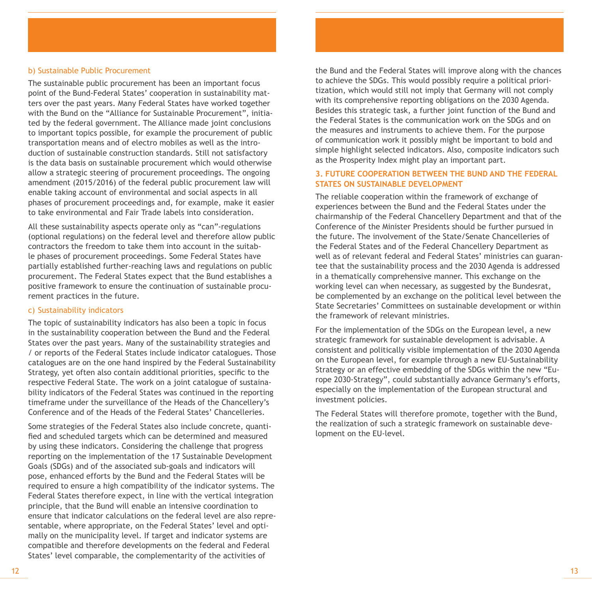#### b) Sustainable Public Procurement

The sustainable public procurement has been an important focus point of the Bund-Federal States' cooperation in sustainability matters over the past years. Many Federal States have worked together with the Bund on the "Alliance for Sustainable Procurement", initiated by the federal government. The Alliance made joint conclusions to important topics possible, for example the procurement of public transportation means and of electro mobiles as well as the introduction of sustainable construction standards. Still not satisfactory is the data basis on sustainable procurement which would otherwise allow a strategic steering of procurement proceedings. The ongoing amendment (2015/2016) of the federal public procurement law will enable taking account of environmental and social aspects in all phases of procurement proceedings and, for example, make it easier to take environmental and Fair Trade labels into consideration.

All these sustainability aspects operate only as "can"-regulations (optional regulations) on the federal level and therefore allow public contractors the freedom to take them into account in the suitable phases of procurement proceedings. Some Federal States have partially established further-reaching laws and regulations on public procurement. The Federal States expect that the Bund establishes a positive framework to ensure the continuation of sustainable procurement practices in the future.

#### c) Sustainability indicators

The topic of sustainability indicators has also been a topic in focus in the sustainability cooperation between the Bund and the Federal States over the past years. Many of the sustainability strategies and / or reports of the Federal States include indicator catalogues. Those catalogues are on the one hand inspired by the Federal Sustainability Strategy, yet often also contain additional priorities, specific to the respective Federal State. The work on a joint catalogue of sustainability indicators of the Federal States was continued in the reporting timeframe under the surveillance of the Heads of the Chancellery's Conference and of the Heads of the Federal States' Chancelleries.

Some strategies of the Federal States also include concrete, quantified and scheduled targets which can be determined and measured by using these indicators. Considering the challenge that progress reporting on the implementation of the 17 Sustainable Development Goals (SDGs) and of the associated sub-goals and indicators will pose, enhanced efforts by the Bund and the Federal States will be required to ensure a high compatibility of the indicator systems. The Federal States therefore expect, in line with the vertical integration principle, that the Bund will enable an intensive coordination to ensure that indicator calculations on the federal level are also representable, where appropriate, on the Federal States' level and optimally on the municipality level. If target and indicator systems are compatible and therefore developments on the federal and Federal States' level comparable, the complementarity of the activities of

the Bund and the Federal States will improve along with the chances to achieve the SDGs. This would possibly require a political prioritization, which would still not imply that Germany will not comply with its comprehensive reporting obligations on the 2030 Agenda. Besides this strategic task, a further joint function of the Bund and the Federal States is the communication work on the SDGs and on the measures and instruments to achieve them. For the purpose of communication work it possibly might be important to bold and simple highlight selected indicators. Also, composite indicators such as the Prosperity Index might play an important part.

#### **3. Future cooperation between the Bund and the Federal States on sustainable development**

The reliable cooperation within the framework of exchange of experiences between the Bund and the Federal States under the chairmanship of the Federal Chancellery Department and that of the Conference of the Minister Presidents should be further pursued in the future. The involvement of the State/Senate Chancelleries of the Federal States and of the Federal Chancellery Department as well as of relevant federal and Federal States' ministries can guarantee that the sustainability process and the 2030 Agenda is addressed in a thematically comprehensive manner. This exchange on the working level can when necessary, as suggested by the Bundesrat, be complemented by an exchange on the political level between the State Secretaries' Committees on sustainable development or within the framework of relevant ministries.

For the implementation of the SDGs on the European level, a new strategic framework for sustainable development is advisable. A consistent and politically visible implementation of the 2030 Agenda on the European level, for example through a new EU-Sustainability Strategy or an effective embedding of the SDGs within the new "Europe 2030-Strategy", could substantially advance Germany's efforts, especially on the implementation of the European structural and investment policies.

The Federal States will therefore promote, together with the Bund, the realization of such a strategic framework on sustainable development on the EU-level.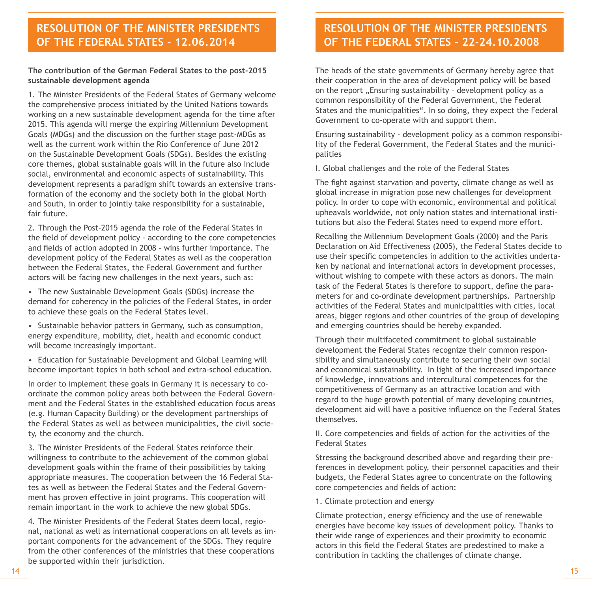### **resolution of the minister presidents of the federal states - 12.06.2014**

#### **The contribution of the German Federal States to the post-2015 sustainable development agenda**

1. The Minister Presidents of the Federal States of Germany welcome the comprehensive process initiated by the United Nations towards working on a new sustainable development agenda for the time after 2015. This agenda will merge the expiring Millennium Development Goals (MDGs) and the discussion on the further stage post-MDGs as well as the current work within the Rio Conference of June 2012 on the Sustainable Development Goals (SDGs). Besides the existing core themes, global sustainable goals will in the future also include social, environmental and economic aspects of sustainability. This development represents a paradigm shift towards an extensive transformation of the economy and the society both in the global North and South, in order to jointly take responsibility for a sustainable, fair future.

2. Through the Post-2015 agenda the role of the Federal States in the field of development policy - according to the core competencies and fields of action adopted in 2008 - wins further importance. The development policy of the Federal States as well as the cooperation between the Federal States, the Federal Government and further actors will be facing new challenges in the next years, such as:

• The new Sustainable Development Goals (SDGs) increase the demand for coherency in the policies of the Federal States, in order to achieve these goals on the Federal States level.

• Sustainable behavior patters in Germany, such as consumption, energy expenditure, mobility, diet, health and economic conduct will become increasingly important.

• Education for Sustainable Development and Global Learning will become important topics in both school and extra-school education.

In order to implement these goals in Germany it is necessary to coordinate the common policy areas both between the Federal Government and the Federal States in the established education focus areas (e.g. Human Capacity Building) or the development partnerships of the Federal States as well as between municipalities, the civil society, the economy and the church.

3. The Minister Presidents of the Federal States reinforce their willingness to contribute to the achievement of the common global development goals within the frame of their possibilities by taking appropriate measures. The cooperation between the 16 Federal States as well as between the Federal States and the Federal Government has proven effective in joint programs. This cooperation will remain important in the work to achieve the new global SDGs.

4. The Minister Presidents of the Federal States deem local, regional, national as well as international cooperations on all levels as important components for the advancement of the SDGs. They require from the other conferences of the ministries that these cooperations be supported within their jurisdiction.

### **Resolution of the Minister Presidents of the Federal States - 22-24.10.2008**

The heads of the state governments of Germany hereby agree that their cooperation in the area of development policy will be based on the report ..Ensuring sustainability - development policy as a common responsibility of the Federal Government, the Federal States and the municipalities". In so doing, they expect the Federal Government to co-operate with and support them.

Ensuring sustainability - development policy as a common responsibility of the Federal Government, the Federal States and the municipalities

I. Global challenges and the role of the Federal States

The fight against starvation and poverty, climate change as well as global increase in migration pose new challenges for development policy. In order to cope with economic, environmental and political upheavals worldwide, not only nation states and international institutions but also the Federal States need to expend more effort.

Recalling the Millennium Development Goals (2000) and the Paris Declaration on Aid Effectiveness (2005), the Federal States decide to use their specific competencies in addition to the activities undertaken by national and international actors in development processes, without wishing to compete with these actors as donors. The main task of the Federal States is therefore to support, define the parameters for and co-ordinate development partnerships. Partnership activities of the Federal States and municipalities with cities, local areas, bigger regions and other countries of the group of developing and emerging countries should be hereby expanded.

Through their multifaceted commitment to global sustainable development the Federal States recognize their common responsibility and simultaneously contribute to securing their own social and economical sustainability. In light of the increased importance of knowledge, innovations and intercultural competences for the competitiveness of Germany as an attractive location and with regard to the huge growth potential of many developing countries, development aid will have a positive influence on the Federal States themselves.

II. Core competencies and fields of action for the activities of the Federal States

Stressing the background described above and regarding their preferences in development policy, their personnel capacities and their budgets, the Federal States agree to concentrate on the following core competencies and fields of action:

1. Climate protection and energy

Climate protection, energy efficiency and the use of renewable energies have become key issues of development policy. Thanks to their wide range of experiences and their proximity to economic actors in this field the Federal States are predestined to make a contribution in tackling the challenges of climate change.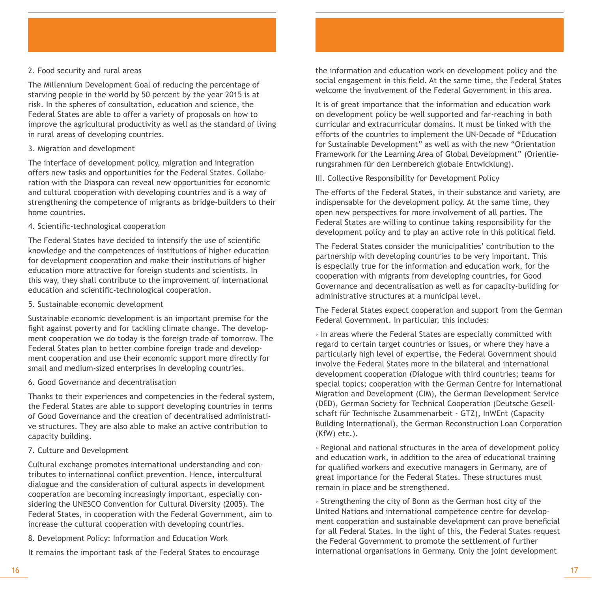#### 2. Food security and rural areas

The Millennium Development Goal of reducing the percentage of starving people in the world by 50 percent by the year 2015 is at risk. In the spheres of consultation, education and science, the Federal States are able to offer a variety of proposals on how to improve the agricultural productivity as well as the standard of living in rural areas of developing countries.

#### 3. Migration and development

The interface of development policy, migration and integration offers new tasks and opportunities for the Federal States. Collaboration with the Diaspora can reveal new opportunities for economic and cultural cooperation with developing countries and is a way of strengthening the competence of migrants as bridge-builders to their home countries.

#### 4. Scientific-technological cooperation

The Federal States have decided to intensify the use of scientific knowledge and the competences of institutions of higher education for development cooperation and make their institutions of higher education more attractive for foreign students and scientists. In this way, they shall contribute to the improvement of international education and scientific-technological cooperation.

5. Sustainable economic development

Sustainable economic development is an important premise for the fight against poverty and for tackling climate change. The development cooperation we do today is the foreign trade of tomorrow. The Federal States plan to better combine foreign trade and development cooperation and use their economic support more directly for small and medium-sized enterprises in developing countries.

#### 6. Good Governance and decentralisation

Thanks to their experiences and competencies in the federal system, the Federal States are able to support developing countries in terms of Good Governance and the creation of decentralised administrative structures. They are also able to make an active contribution to capacity building.

#### 7. Culture and Development

Cultural exchange promotes international understanding and contributes to international conflict prevention. Hence, intercultural dialogue and the consideration of cultural aspects in development cooperation are becoming increasingly important, especially considering the UNESCO Convention for Cultural Diversity (2005). The Federal States, in cooperation with the Federal Government, aim to increase the cultural cooperation with developing countries.

8. Development Policy: Information and Education Work

It remains the important task of the Federal States to encourage

the information and education work on development policy and the social engagement in this field. At the same time, the Federal States welcome the involvement of the Federal Government in this area.

It is of great importance that the information and education work on development policy be well supported and far-reaching in both curricular and extracurricular domains. It must be linked with the efforts of the countries to implement the UN-Decade of "Education for Sustainable Development" as well as with the new "Orientation Framework for the Learning Area of Global Development" (Orientierungsrahmen für den Lernbereich globale Entwicklung).

III. Collective Responsibility for Development Policy

The efforts of the Federal States, in their substance and variety, are indispensable for the development policy. At the same time, they open new perspectives for more involvement of all parties. The Federal States are willing to continue taking responsibility for the development policy and to play an active role in this political field.

The Federal States consider the municipalities' contribution to the partnership with developing countries to be very important. This is especially true for the information and education work, for the cooperation with migrants from developing countries, for Good Governance and decentralisation as well as for capacity-building for administrative structures at a municipal level.

The Federal States expect cooperation and support from the German Federal Government. In particular, this includes:

› In areas where the Federal States are especially committed with regard to certain target countries or issues, or where they have a particularly high level of expertise, the Federal Government should involve the Federal States more in the bilateral and international development cooperation (Dialogue with third countries; teams for special topics; cooperation with the German Centre for International Migration and Development (CIM), the German Development Service (DED), German Society for Technical Cooperation (Deutsche Gesellschaft für Technische Zusammenarbeit - GTZ), InWEnt (Capacity Building International), the German Reconstruction Loan Corporation (KfW) etc.).

› Regional and national structures in the area of development policy and education work, in addition to the area of educational training for qualified workers and executive managers in Germany, are of great importance for the Federal States. These structures must remain in place and be strengthened.

› Strengthening the city of Bonn as the German host city of the United Nations and international competence centre for development cooperation and sustainable development can prove beneficial for all Federal States. In the light of this, the Federal States request the Federal Government to promote the settlement of further international organisations in Germany. Only the joint development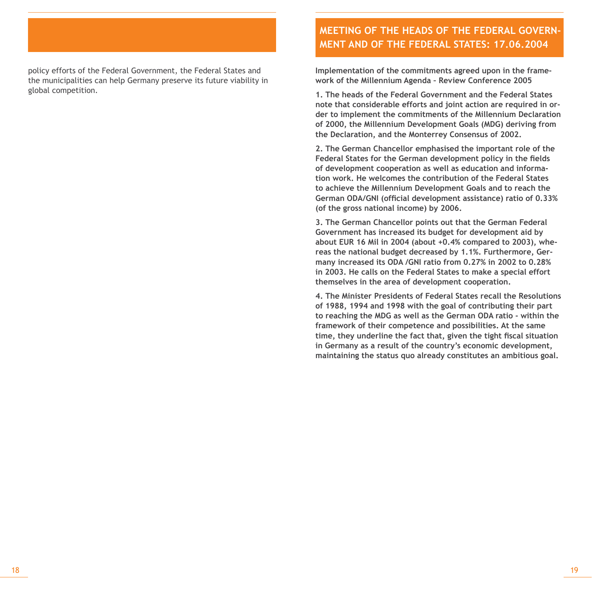#### policy efforts of the Federal Government, the Federal States and the municipalities can help Germany preserve its future viability in global competition.

### **Meeting of the Heads of the Federal Government and of the Federal States: 17.06.2004**

**Implementation of the commitments agreed upon in the framework of the Millennium Agenda – Review Conference 2005** 

**1. The heads of the Federal Government and the Federal States note that considerable efforts and joint action are required in order to implement the commitments of the Millennium Declaration of 2000, the Millennium Development Goals (MDG) deriving from the Declaration, and the Monterrey Consensus of 2002.** 

**2. The German Chancellor emphasised the important role of the Federal States for the German development policy in the fields of development cooperation as well as education and information work. He welcomes the contribution of the Federal States to achieve the Millennium Development Goals and to reach the German ODA/GNI (official development assistance) ratio of 0.33% (of the gross national income) by 2006.** 

**3. The German Chancellor points out that the German Federal Government has increased its budget for development aid by about EUR 16 Mil in 2004 (about +0.4% compared to 2003), whereas the national budget decreased by 1.1%. Furthermore, Germany increased its ODA /GNI ratio from 0.27% in 2002 to 0.28% in 2003. He calls on the Federal States to make a special effort themselves in the area of development cooperation.** 

**4. The Minister Presidents of Federal States recall the Resolutions of 1988, 1994 and 1998 with the goal of contributing their part to reaching the MDG as well as the German ODA ratio - within the framework of their competence and possibilities. At the same time, they underline the fact that, given the tight fiscal situation in Germany as a result of the country's economic development, maintaining the status quo already constitutes an ambitious goal.**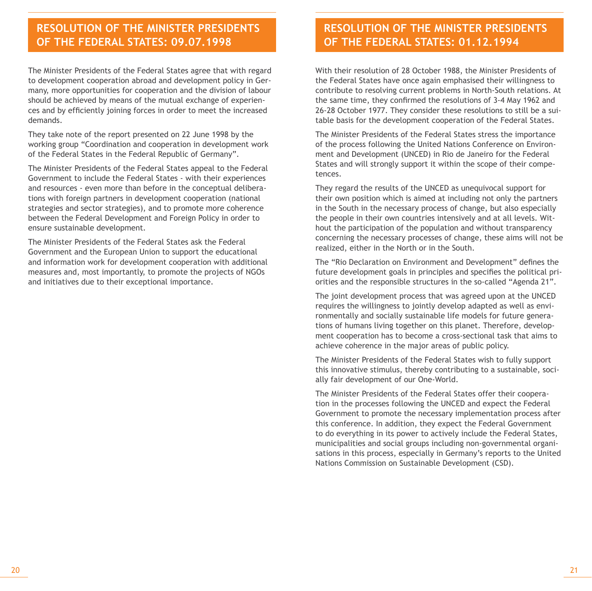### **Resolution of the Minister Presidents of the Federal States: 09.07.1998**

The Minister Presidents of the Federal States agree that with regard to development cooperation abroad and development policy in Germany, more opportunities for cooperation and the division of labour should be achieved by means of the mutual exchange of experiences and by efficiently joining forces in order to meet the increased demands.

They take note of the report presented on 22 June 1998 by the working group "Coordination and cooperation in development work of the Federal States in the Federal Republic of Germany".

The Minister Presidents of the Federal States appeal to the Federal Government to include the Federal States - with their experiences and resources - even more than before in the conceptual deliberations with foreign partners in development cooperation (national strategies and sector strategies), and to promote more coherence between the Federal Development and Foreign Policy in order to ensure sustainable development.

The Minister Presidents of the Federal States ask the Federal Government and the European Union to support the educational and information work for development cooperation with additional measures and, most importantly, to promote the projects of NGOs and initiatives due to their exceptional importance.

### **Resolution of the Minister Presidents of the Federal States: 01.12.1994**

With their resolution of 28 October 1988, the Minister Presidents of the Federal States have once again emphasised their willingness to contribute to resolving current problems in North-South relations. At the same time, they confirmed the resolutions of 3-4 May 1962 and 26-28 October 1977. They consider these resolutions to still be a suitable basis for the development cooperation of the Federal States.

The Minister Presidents of the Federal States stress the importance of the process following the United Nations Conference on Environment and Development (UNCED) in Rio de Janeiro for the Federal States and will strongly support it within the scope of their competences.

They regard the results of the UNCED as unequivocal support for their own position which is aimed at including not only the partners in the South in the necessary process of change, but also especially the people in their own countries intensively and at all levels. Without the participation of the population and without transparency concerning the necessary processes of change, these aims will not be realized, either in the North or in the South.

The "Rio Declaration on Environment and Development" defines the future development goals in principles and specifies the political priorities and the responsible structures in the so-called "Agenda 21".

The joint development process that was agreed upon at the UNCED requires the willingness to jointly develop adapted as well as environmentally and socially sustainable life models for future generations of humans living together on this planet. Therefore, development cooperation has to become a cross-sectional task that aims to achieve coherence in the major areas of public policy.

The Minister Presidents of the Federal States wish to fully support this innovative stimulus, thereby contributing to a sustainable, socially fair development of our One-World.

The Minister Presidents of the Federal States offer their cooperation in the processes following the UNCED and expect the Federal Government to promote the necessary implementation process after this conference. In addition, they expect the Federal Government to do everything in its power to actively include the Federal States, municipalities and social groups including non-governmental organisations in this process, especially in Germany's reports to the United Nations Commission on Sustainable Development (CSD).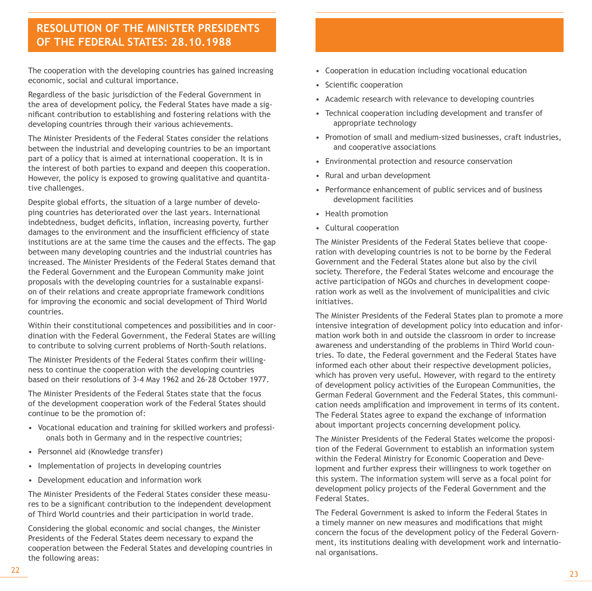### **Resolution of the Minister Presidents of the Federal States: 28.10.1988**

The cooperation with the developing countries has gained increasing economic, social and cultural importance.

Regardless of the basic jurisdiction of the Federal Government in the area of development policy, the Federal States have made a significant contribution to establishing and fostering relations with the developing countries through their various achievements.

The Minister Presidents of the Federal States consider the relations between the industrial and developing countries to be an important part of a policy that is aimed at international cooperation. It is in the interest of both parties to expand and deepen this cooperation. However, the policy is exposed to growing qualitative and quantitative challenges.

Despite global efforts, the situation of a large number of developing countries has deteriorated over the last years. International indebtedness, budget deficits, inflation, increasing poverty, further damages to the environment and the insufficient efficiency of state institutions are at the same time the causes and the effects. The gap between many developing countries and the industrial countries has increased. The Minister Presidents of the Federal States demand that the Federal Government and the European Community make joint proposals with the developing countries for a sustainable expansion of their relations and create appropriate framework conditions for improving the economic and social development of Third World countries.

Within their constitutional competences and possibilities and in coordination with the Federal Government, the Federal States are willing to contribute to solving current problems of North-South relations.

The Minister Presidents of the Federal States confirm their willingness to continue the cooperation with the developing countries based on their resolutions of 3-4 May 1962 and 26-28 October 1977.

The Minister Presidents of the Federal States state that the focus of the development cooperation work of the Federal States should continue to be the promotion of:

- Vocational education and training for skilled workers and professionals both in Germany and in the respective countries;
- Personnel aid (Knowledge transfer)
- Implementation of projects in developing countries
- Development education and information work

The Minister Presidents of the Federal States consider these measures to be a significant contribution to the independent development of Third World countries and their participation in world trade.

Considering the global economic and social changes, the Minister Presidents of the Federal States deem necessary to expand the cooperation between the Federal States and developing countries in the following areas:

- Cooperation in education including vocational education
- Scientific cooperation
- Academic research with relevance to developing countries
- Technical cooperation including development and transfer of appropriate technology
- Promotion of small and medium-sized businesses, craft industries, and cooperative associations
- Environmental protection and resource conservation
- Rural and urban development
- Performance enhancement of public services and of business development facilities
- Health promotion
- Cultural cooperation

The Minister Presidents of the Federal States believe that cooperation with developing countries is not to be borne by the Federal Government and the Federal States alone but also by the civil society. Therefore, the Federal States welcome and encourage the active participation of NGOs and churches in development cooperation work as well as the involvement of municipalities and civic initiatives.

The Minister Presidents of the Federal States plan to promote a more intensive integration of development policy into education and information work both in and outside the classroom in order to increase awareness and understanding of the problems in Third World countries. To date, the Federal government and the Federal States have informed each other about their respective development policies, which has proven very useful. However, with regard to the entirety of development policy activities of the European Communities, the German Federal Government and the Federal States, this communication needs amplification and improvement in terms of its content. The Federal States agree to expand the exchange of information about important projects concerning development policy.

The Minister Presidents of the Federal States welcome the proposition of the Federal Government to establish an information system within the Federal Ministry for Economic Cooperation and Development and further express their willingness to work together on this system. The information system will serve as a focal point for development policy projects of the Federal Government and the Federal States.

The Federal Government is asked to inform the Federal States in a timely manner on new measures and modifications that might concern the focus of the development policy of the Federal Government, its institutions dealing with development work and international organisations.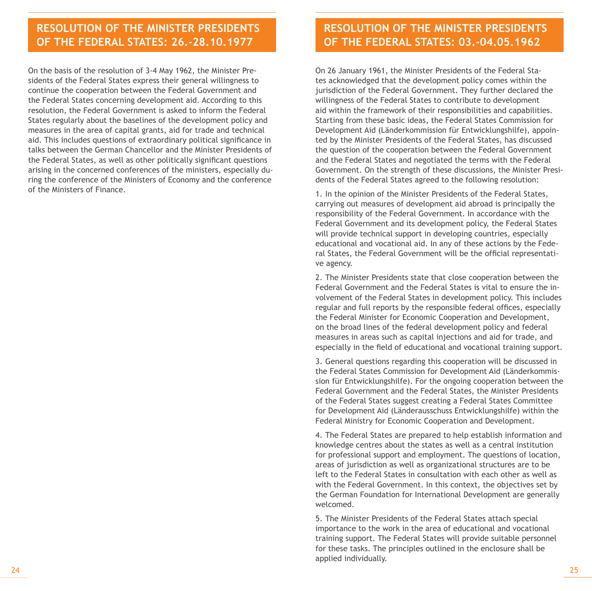### **Resolution of the Minister Presidents of the Federal States: 26.-28.10.1977**

On the basis of the resolution of 3-4 May 1962, the Minister Presidents of the Federal States express their general willingness to continue the cooperation between the Federal Government and the Federal States concerning development aid. According to this resolution, the Federal Government is asked to inform the Federal States regularly about the baselines of the development policy and measures in the area of capital grants, aid for trade and technical aid. This includes questions of extraordinary political significance in talks between the German Chancellor and the Minister Presidents of the Federal States, as well as other politically significant questions arising in the concerned conferences of the ministers, especially during the conference of the Ministers of Economy and the conference of the Ministers of Finance.

### **Beschluss der Ministerpräsidenten-Resolution of the Minister Presidents konferenz vom 22.-24. Oktober 2008 of the Federal States: 03.-04.05.1962**

On 26 January 1961, the Minister Presidents of the Federal States acknowledged that the development policy comes within the jurisdiction of the Federal Government. They further declared the willingness of the Federal States to contribute to development aid within the framework of their responsibilities and capabilities. Starting from these basic ideas, the Federal States Commission for Development Aid (Länderkommission für Entwicklungshilfe), appointed by the Minister Presidents of the Federal States, has discussed the question of the cooperation between the Federal Government and the Federal States and negotiated the terms with the Federal Government. On the strength of these discussions, the Minister Presidents of the Federal States agreed to the following resolution:

1. In the opinion of the Minister Presidents of the Federal States, carrying out measures of development aid abroad is principally the responsibility of the Federal Government. In accordance with the Federal Government and its development policy, the Federal States will provide technical support in developing countries, especially educational and vocational aid. In any of these actions by the Federal States, the Federal Government will be the official representative agency.

2. The Minister Presidents state that close cooperation between the Federal Government and the Federal States is vital to ensure the involvement of the Federal States in development policy. This includes regular and full reports by the responsible federal offices, especially the Federal Minister for Economic Cooperation and Development, on the broad lines of the federal development policy and federal measures in areas such as capital injections and aid for trade, and especially in the field of educational and vocational training support.

3. General questions regarding this cooperation will be discussed in the Federal States Commission for Development Aid (Länderkommission für Entwicklungshilfe). For the ongoing cooperation between the Federal Government and the Federal States, the Minister Presidents of the Federal States suggest creating a Federal States Committee for Development Aid (Länderausschuss Entwicklungshilfe) within the Federal Ministry for Economic Cooperation and Development.

4. The Federal States are prepared to help establish information and knowledge centres about the states as well as a central institution for professional support and employment. The questions of location, areas of jurisdiction as well as organizational structures are to be left to the Federal States in consultation with each other as well as with the Federal Government. In this context, the objectives set by the German Foundation for International Development are generally welcomed.

5. The Minister Presidents of the Federal States attach special importance to the work in the area of educational and vocational training support. The Federal States will provide suitable personnel for these tasks. The principles outlined in the enclosure shall be applied individually.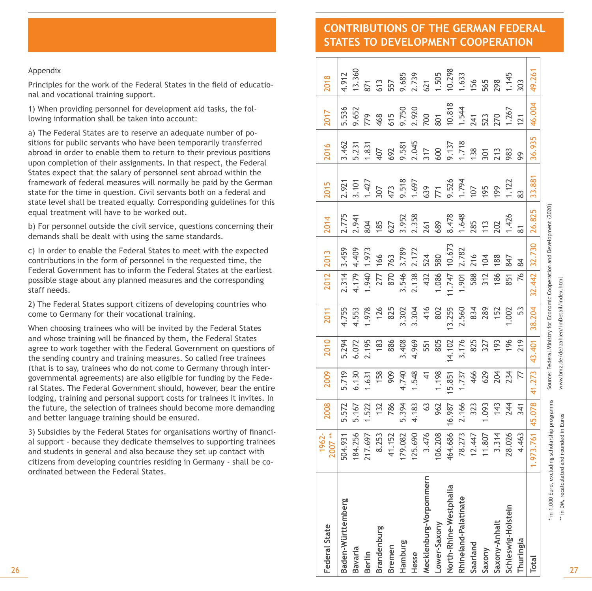### **CONTRIBUTIONS OF THE GERMAN FEDERAL STATES TO DEVELOPMENT COOPERATION**

#### Appendix

| 26                                                                                                                                                                                                                                                                                                                                     | <b>Federal State</b> | Baden-Württemberg  | <b>Bavaria</b><br>Berlin | Brandenburg | <b>Bremen</b> | Hamburg | Hesse   | Mecklenburg-Vorpommern                         | North-Rhine-Westphalia<br>Lower-Saxony | Rhineland-Palatinate | Saarland | Saxony | Saxony-Anhalt | Schleswig-Holstein | Thuringia      | Total   |
|----------------------------------------------------------------------------------------------------------------------------------------------------------------------------------------------------------------------------------------------------------------------------------------------------------------------------------------|----------------------|--------------------|--------------------------|-------------|---------------|---------|---------|------------------------------------------------|----------------------------------------|----------------------|----------|--------|---------------|--------------------|----------------|---------|
| 3) Subsidies by the Federal States for organisations worthy of financi-<br>al support - because they dedicate themselves to supporting trainees<br>and students in general and also because they set up contact with<br>citizens from developing countries residing in Germany - shall be co-<br>ordinated between the Federal States. | 1962-<br>2007        | 184.256<br>504.931 | 217.697                  | 8.253       | 41.152        | 179.082 | 125.690 | 3.476                                          | 106.208<br>464.686                     | 78.273               | 12.447   | 11.807 | 3.314         | 28.026             | 4.463          | 973.761 |
| lodging, training and personal support costs for trainees it invites. In<br>the future, the selection of trainees should become more demanding<br>and better language training should be ensured.                                                                                                                                      | 2008                 | 5.572              | 1.522<br>5.167           | 132         | 786           | 5.394   | 4.183   | $63$                                           | 962<br>16.987                          | 2.166                | 323      | 1.093  | 143           | 244                | 341            | 45.078  |
| (that is to say, trainees who do not come to Germany through inter-<br>governmental agreements) are also eligible for funding by the Fede-<br>ral States. The Federal Government should, however, bear the entire                                                                                                                      | 2009                 | 5.719<br>6.130     | 1.631                    | 158         | 909           | 4.740   | 1.548   | 4                                              | 1.198<br>15.851                        | 1.737                | 466      | 629    | 204           | 234                | 77             | 41.273  |
| When choosing trainees who will be invited by the Federal States<br>and whose training will be financed by them, the Federal States<br>agree to work together with the Federal Government on questions of<br>the sending country and training measures. So called free trainees                                                        | 2010                 | 5.294<br>6.072     | 2.195                    | 183         | 886           | 3.408   | 4.969   | 805<br>551                                     | 14.102                                 | 3.176                | 825      | 327    | 193           | 196                | 219            | 43.401  |
| 2) The Federal States support citizens of developing countries who<br>come to Germany for their vocational training.                                                                                                                                                                                                                   | 2011                 | 4.755<br>4.553     | 1.978                    | 126         | 825           | 3.302   | 3.304   | 416                                            | 13.255<br>802                          | 2.560                | 834      | 289    | 152           | 1.002              | 53             | 38.204  |
| Federal Government has to inform the Federal States at the earliest<br>possible stage about any planned measures and the corresponding<br>staff needs.                                                                                                                                                                                 | 2012                 | 4.179<br>2.314     | 1.940                    | 277         | 870           | 3.546   | 2.138   | 432                                            | 1.086<br>11.747                        | 1.901                | 588      | 312    | 186           | 851                | 76             | 32.442  |
| c) In order to enable the Federal States to meet with the expected<br>contributions in the form of personnel in the requested time, the                                                                                                                                                                                                | 2013                 | 3.459              | 4.409<br>1.973           | 166         | 763           | 3.789   | 2.172   | 524                                            | 10.673<br>580                          | 2.782                | 216      | 104    | 188           | 847<br>84          |                | 32.730  |
| equal treatment will have to be worked out.<br>b) For personnel outside the civil service, questions concerning their<br>demands shall be dealt with using the same standards.                                                                                                                                                         | 2014                 | 2.775<br>2.941     | 804                      | 185         | 627           | 3.952   | 2.358   | 261                                            | 8.478<br>689                           | 1.648                | 285      | 113    | 202           | 1.426              | $\overline{8}$ | 26.825  |
| States expect that the salary of personnel sent abroad within the<br>framework of federal measures will normally be paid by the German<br>state for the time in question. Civil servants both on a federal and<br>state level shall be treated equally. Corresponding guidelines for this                                              | 2015                 | 2.921              | 3.101<br>1.427           | 307         |               |         |         | 473<br>9.518<br>1.697<br>539<br>1.794<br>9.526 |                                        |                      | 107      | 195    | 199           | 1.122              | 83             | 33.881  |
| a) The Federal States are to reserve an adequate number of po-<br>sitions for public servants who have been temporarily transferred<br>abroad in order to enable them to return to their previous positions<br>upon completion of their assignments. In that respect, the Federal                                                      | 2016                 | 3.462              | 5.231<br>1.831           | 407         | 692           | 9.581   |         | 2.045<br>317<br>600                            | 9.137                                  | 1.718                | 138      | 301    | 213           | 983<br>99          |                | 36.935  |
| 1) When providing personnel for development aid tasks, the fol-<br>lowing information shall be taken into account:                                                                                                                                                                                                                     | 2017                 | 5.536<br>9.652     | 779                      | 468         | 615           | 9.750   | 2.920   | 700                                            | 10.818<br>801                          | 1.544                | 241      | 523    | 270           | 1.267              | 121            | 46.004  |
| Principles for the work of the Federal States in the field of educatio-<br>nal and vocational training support.                                                                                                                                                                                                                        | 2018                 | 13.360<br>4.912    | 871                      | 613         | 557           | 9.685   | 2.739   | 1.505<br>621                                   | 10.298                                 | 1.633                | 156      | 565    | 298           | 1.145              | 303            | 49.261  |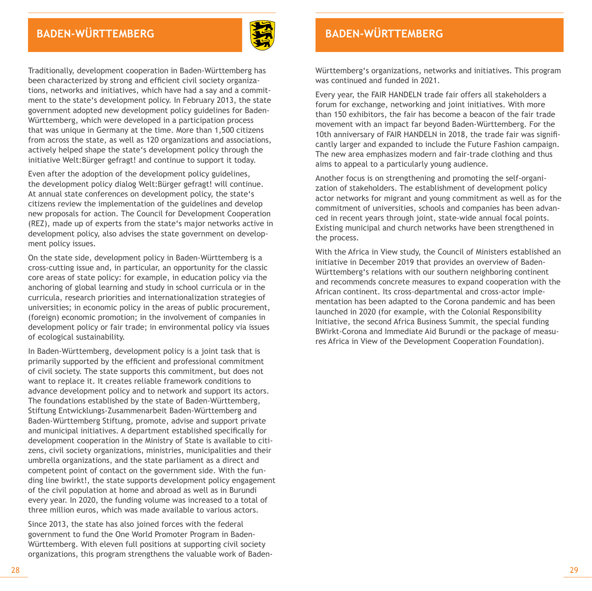

Traditionally, development cooperation in Baden-Württemberg has been characterized by strong and efficient civil society organizations, networks and initiatives, which have had a say and a commitment to the state's development policy. In February 2013, the state government adopted new development policy guidelines for Baden-Württemberg, which were developed in a participation process that was unique in Germany at the time. More than 1,500 citizens from across the state, as well as 120 organizations and associations, actively helped shape the state's development policy through the initiative Welt:Bürger gefragt! and continue to support it today.

Even after the adoption of the development policy guidelines, the development policy dialog Welt:Bürger gefragt! will continue. At annual state conferences on development policy, the state's citizens review the implementation of the guidelines and develop new proposals for action. The Council for Development Cooperation (REZ), made up of experts from the state's major networks active in development policy, also advises the state government on development policy issues.

On the state side, development policy in Baden-Württemberg is a cross-cutting issue and, in particular, an opportunity for the classic core areas of state policy: for example, in education policy via the anchoring of global learning and study in school curricula or in the curricula, research priorities and internationalization strategies of universities; in economic policy in the areas of public procurement, (foreign) economic promotion; in the involvement of companies in development policy or fair trade; in environmental policy via issues of ecological sustainability.

In Baden-Württemberg, development policy is a joint task that is primarily supported by the efficient and professional commitment of civil society. The state supports this commitment, but does not want to replace it. It creates reliable framework conditions to advance development policy and to network and support its actors. The foundations established by the state of Baden-Württemberg, Stiftung Entwicklungs-Zusammenarbeit Baden-Württemberg and Baden-Württemberg Stiftung, promote, advise and support private and municipal initiatives. A department established specifically for development cooperation in the Ministry of State is available to citizens, civil society organizations, ministries, municipalities and their umbrella organizations, and the state parliament as a direct and competent point of contact on the government side. With the funding line bwirkt!, the state supports development policy engagement of the civil population at home and abroad as well as in Burundi every year. In 2020, the funding volume was increased to a total of three million euros, which was made available to various actors.

Since 2013, the state has also joined forces with the federal government to fund the One World Promoter Program in Baden-Württemberg. With eleven full positions at supporting civil society organizations, this program strengthens the valuable work of Baden-

## **Baden-WürtTemberg**

Württemberg's organizations, networks and initiatives. This program was continued and funded in 2021.

Every year, the FAIR HANDELN trade fair offers all stakeholders a forum for exchange, networking and joint initiatives. With more than 150 exhibitors, the fair has become a beacon of the fair trade movement with an impact far beyond Baden-Württemberg. For the 10th anniversary of FAIR HANDELN in 2018, the trade fair was significantly larger and expanded to include the Future Fashion campaign. The new area emphasizes modern and fair-trade clothing and thus aims to appeal to a particularly young audience.

Another focus is on strengthening and promoting the self-organization of stakeholders. The establishment of development policy actor networks for migrant and young commitment as well as for the commitment of universities, schools and companies has been advanced in recent years through joint, state-wide annual focal points. Existing municipal and church networks have been strengthened in the process.

With the Africa in View study, the Council of Ministers established an initiative in December 2019 that provides an overview of Baden-Württemberg's relations with our southern neighboring continent and recommends concrete measures to expand cooperation with the African continent. Its cross-departmental and cross-actor implementation has been adapted to the Corona pandemic and has been launched in 2020 (for example, with the Colonial Responsibility Initiative, the second Africa Business Summit, the special funding BWirkt-Corona and Immediate Aid Burundi or the package of measures Africa in View of the Development Cooperation Foundation).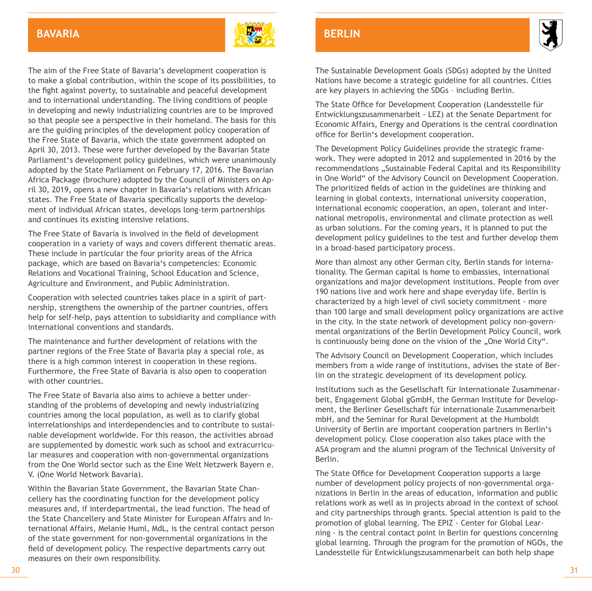### **BAvaria**



The aim of the Free State of Bavaria's development cooperation is to make a global contribution, within the scope of its possibilities, to the fight against poverty, to sustainable and peaceful development and to international understanding. The living conditions of people in developing and newly industrializing countries are to be improved so that people see a perspective in their homeland. The basis for this are the guiding principles of the development policy cooperation of the Free State of Bavaria, which the state government adopted on April 30, 2013. These were further developed by the Bavarian State Parliament's development policy guidelines, which were unanimously adopted by the State Parliament on February 17, 2016. The Bavarian Africa Package (brochure) adopted by the Council of Ministers on April 30, 2019, opens a new chapter in Bavaria's relations with African states. The Free State of Bavaria specifically supports the development of individual African states, develops long-term partnerships and continues its existing intensive relations.

The Free State of Bavaria is involved in the field of development cooperation in a variety of ways and covers different thematic areas. These include in particular the four priority areas of the Africa package, which are based on Bavaria's competencies: Economic Relations and Vocational Training, School Education and Science, Agriculture and Environment, and Public Administration.

Cooperation with selected countries takes place in a spirit of partnership, strengthens the ownership of the partner countries, offers help for self-help, pays attention to subsidiarity and compliance with international conventions and standards.

The maintenance and further development of relations with the partner regions of the Free State of Bavaria play a special role, as there is a high common interest in cooperation in these regions. Furthermore, the Free State of Bavaria is also open to cooperation with other countries.

The Free State of Bavaria also aims to achieve a better understanding of the problems of developing and newly industrializing countries among the local population, as well as to clarify global interrelationships and interdependencies and to contribute to sustainable development worldwide. For this reason, the activities abroad are supplemented by domestic work such as school and extracurricular measures and cooperation with non-governmental organizations from the One World sector such as the Eine Welt Netzwerk Bayern e. V. (One World Network Bavaria).

Within the Bavarian State Government, the Bavarian State Chancellery has the coordinating function for the development policy measures and, if interdepartmental, the lead function. The head of the State Chancellery and State Minister for European Affairs and International Affairs, Melanie Huml, MdL, is the central contact person of the state government for non-governmental organizations in the field of development policy. The respective departments carry out measures on their own responsibility.

### **BERLIN**



The Sustainable Development Goals (SDGs) adopted by the United Nations have become a strategic guideline for all countries. Cities are key players in achieving the SDGs – including Berlin.

The State Office for Development Cooperation (Landesstelle für Entwicklungszusammenarbeit - LEZ) at the Senate Department for Economic Affairs, Energy and Operations is the central coordination office for Berlin's development cooperation.

The Development Policy Guidelines provide the strategic framework. They were adopted in 2012 and supplemented in 2016 by the recommendations "Sustainable Federal Capital and its Responsibility in One World" of the Advisory Council on Development Cooperation. The prioritized fields of action in the guidelines are thinking and learning in global contexts, international university cooperation, international economic cooperation, an open, tolerant and international metropolis, environmental and climate protection as well as urban solutions. For the coming years, it is planned to put the development policy guidelines to the test and further develop them in a broad-based participatory process.

More than almost any other German city, Berlin stands for internationality. The German capital is home to embassies, international organizations and major development institutions. People from over 190 nations live and work here and shape everyday life. Berlin is characterized by a high level of civil society commitment - more than 100 large and small development policy organizations are active in the city. In the state network of development policy non-governmental organizations of the Berlin Development Policy Council, work is continuously being done on the vision of the .. One World City".

The Advisory Council on Development Cooperation, which includes members from a wide range of institutions, advises the state of Berlin on the strategic development of its development policy.

Institutions such as the Gesellschaft für Internationale Zusammenarbeit, Engagement Global gGmbH, the German Institute for Development, the Berliner Gesellschaft für internationale Zusammenarbeit mbH, and the Seminar for Rural Development at the Humboldt University of Berlin are important cooperation partners in Berlin's development policy. Close cooperation also takes place with the ASA program and the alumni program of the Technical University of Berlin.

The State Office for Development Cooperation supports a large number of development policy projects of non-governmental organizations in Berlin in the areas of education, information and public relations work as well as in projects abroad in the context of school and city partnerships through grants. Special attention is paid to the promotion of global learning. The EPIZ - Center for Global Learning - is the central contact point in Berlin for questions concerning global learning. Through the program for the promotion of NGOs, the Landesstelle für Entwicklungszusammenarbeit can both help shape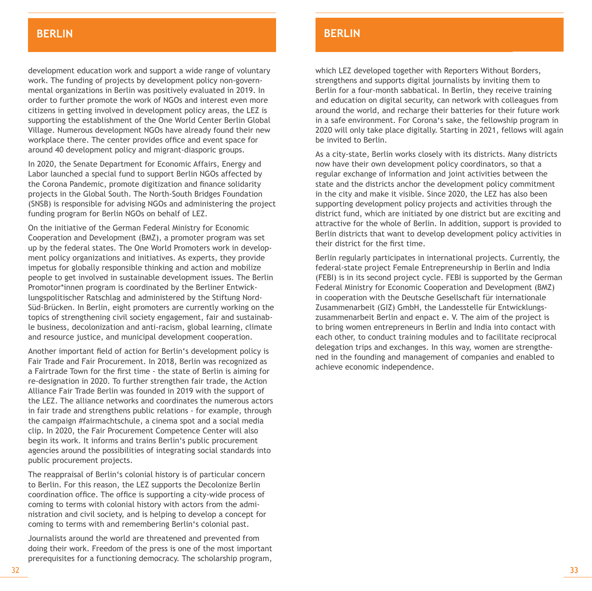#### **BERLIN** BAYERN BERLINGER BAYERN BERLINGER **BERLIN**

development education work and support a wide range of voluntary work. The funding of projects by development policy non-governmental organizations in Berlin was positively evaluated in 2019. In order to further promote the work of NGOs and interest even more citizens in getting involved in development policy areas, the LEZ is supporting the establishment of the One World Center Berlin Global Village. Numerous development NGOs have already found their new workplace there. The center provides office and event space for around 40 development policy and migrant-diasporic groups.

In 2020, the Senate Department for Economic Affairs, Energy and Labor launched a special fund to support Berlin NGOs affected by the Corona Pandemic, promote digitization and finance solidarity projects in the Global South. The North-South Bridges Foundation (SNSB) is responsible for advising NGOs and administering the project funding program for Berlin NGOs on behalf of LEZ.

On the initiative of the German Federal Ministry for Economic Cooperation and Development (BMZ), a promoter program was set up by the federal states. The One World Promoters work in development policy organizations and initiatives. As experts, they provide impetus for globally responsible thinking and action and mobilize people to get involved in sustainable development issues. The Berlin Promotor\*innen program is coordinated by the Berliner Entwicklungspolitischer Ratschlag and administered by the Stiftung Nord-Süd-Brücken. In Berlin, eight promoters are currently working on the topics of strengthening civil society engagement, fair and sustainable business, decolonization and anti-racism, global learning, climate and resource justice, and municipal development cooperation.

Another important field of action for Berlin's development policy is Fair Trade and Fair Procurement. In 2018, Berlin was recognized as a Fairtrade Town for the first time - the state of Berlin is aiming for re-designation in 2020. To further strengthen fair trade, the Action Alliance Fair Trade Berlin was founded in 2019 with the support of the LEZ. The alliance networks and coordinates the numerous actors in fair trade and strengthens public relations - for example, through the campaign #fairmachtschule, a cinema spot and a social media clip. In 2020, the Fair Procurement Competence Center will also begin its work. It informs and trains Berlin's public procurement agencies around the possibilities of integrating social standards into public procurement projects.

The reappraisal of Berlin's colonial history is of particular concern to Berlin. For this reason, the LEZ supports the Decolonize Berlin coordination office. The office is supporting a city-wide process of coming to terms with colonial history with actors from the administration and civil society, and is helping to develop a concept for coming to terms with and remembering Berlin's colonial past.

Journalists around the world are threatened and prevented from doing their work. Freedom of the press is one of the most important prerequisites for a functioning democracy. The scholarship program,

### **BERLIN**

which LEZ developed together with Reporters Without Borders, strengthens and supports digital journalists by inviting them to Berlin for a four-month sabbatical. In Berlin, they receive training and education on digital security, can network with colleagues from around the world, and recharge their batteries for their future work in a safe environment. For Corona's sake, the fellowship program in 2020 will only take place digitally. Starting in 2021, fellows will again be invited to Berlin.

As a city-state, Berlin works closely with its districts. Many districts now have their own development policy coordinators, so that a regular exchange of information and joint activities between the state and the districts anchor the development policy commitment in the city and make it visible. Since 2020, the LEZ has also been supporting development policy projects and activities through the district fund, which are initiated by one district but are exciting and attractive for the whole of Berlin. In addition, support is provided to Berlin districts that want to develop development policy activities in their district for the first time.

Berlin regularly participates in international projects. Currently, the federal-state project Female Entrepreneurship in Berlin and India (FEBI) is in its second project cycle. FEBI is supported by the German Federal Ministry for Economic Cooperation and Development (BMZ) in cooperation with the Deutsche Gesellschaft für internationale Zusammenarbeit (GIZ) GmbH, the Landesstelle für Entwicklungszusammenarbeit Berlin and enpact e. V. The aim of the project is to bring women entrepreneurs in Berlin and India into contact with each other, to conduct training modules and to facilitate reciprocal delegation trips and exchanges. In this way, women are strengthened in the founding and management of companies and enabled to achieve economic independence.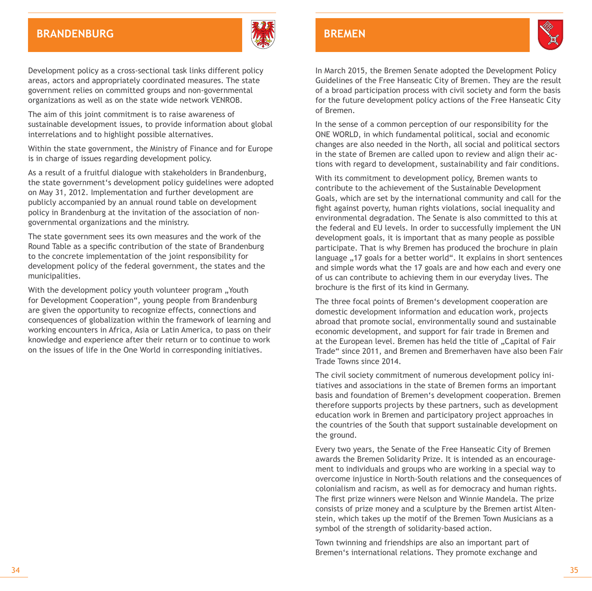### **Baden-Württemberg Brandenburg**



Development policy as a cross-sectional task links different policy areas, actors and appropriately coordinated measures. The state government relies on committed groups and non-governmental organizations as well as on the state wide network VENROB.

The aim of this joint commitment is to raise awareness of sustainable development issues, to provide information about global interrelations and to highlight possible alternatives.

Within the state government, the Ministry of Finance and for Europe is in charge of issues regarding development policy.

As a result of a fruitful dialogue with stakeholders in Brandenburg, the state government's development policy guidelines were adopted on May 31, 2012. Implementation and further development are publicly accompanied by an annual round table on development policy in Brandenburg at the invitation of the association of nongovernmental organizations and the ministry.

The state government sees its own measures and the work of the Round Table as a specific contribution of the state of Brandenburg to the concrete implementation of the joint responsibility for development policy of the federal government, the states and the municipalities.

With the development policy youth volunteer program "Youth for Development Cooperation", young people from Brandenburg are given the opportunity to recognize effects, connections and consequences of globalization within the framework of learning and working encounters in Africa, Asia or Latin America, to pass on their knowledge and experience after their return or to continue to work on the issues of life in the One World in corresponding initiatives.

### **BREMEN**



In March 2015, the Bremen Senate adopted the Development Policy Guidelines of the Free Hanseatic City of Bremen. They are the result of a broad participation process with civil society and form the basis for the future development policy actions of the Free Hanseatic City of Bremen.

In the sense of a common perception of our responsibility for the ONE WORLD, in which fundamental political, social and economic changes are also needed in the North, all social and political sectors in the state of Bremen are called upon to review and align their actions with regard to development, sustainability and fair conditions.

With its commitment to development policy, Bremen wants to contribute to the achievement of the Sustainable Development Goals, which are set by the international community and call for the fight against poverty, human rights violations, social inequality and environmental degradation. The Senate is also committed to this at the federal and EU levels. In order to successfully implement the UN development goals, it is important that as many people as possible participate. That is why Bremen has produced the brochure in plain language ..17 goals for a better world". It explains in short sentences and simple words what the 17 goals are and how each and every one of us can contribute to achieving them in our everyday lives. The brochure is the first of its kind in Germany.

The three focal points of Bremen's development cooperation are domestic development information and education work, projects abroad that promote social, environmentally sound and sustainable economic development, and support for fair trade in Bremen and at the European level. Bremen has held the title of . Capital of Fair Trade" since 2011, and Bremen and Bremerhaven have also been Fair Trade Towns since 2014.

The civil society commitment of numerous development policy initiatives and associations in the state of Bremen forms an important basis and foundation of Bremen's development cooperation. Bremen therefore supports projects by these partners, such as development education work in Bremen and participatory project approaches in the countries of the South that support sustainable development on the ground.

Every two years, the Senate of the Free Hanseatic City of Bremen awards the Bremen Solidarity Prize. It is intended as an encouragement to individuals and groups who are working in a special way to overcome injustice in North-South relations and the consequences of colonialism and racism, as well as for democracy and human rights. The first prize winners were Nelson and Winnie Mandela. The prize consists of prize money and a sculpture by the Bremen artist Altenstein, which takes up the motif of the Bremen Town Musicians as a symbol of the strength of solidarity-based action.

Town twinning and friendships are also an important part of Bremen's international relations. They promote exchange and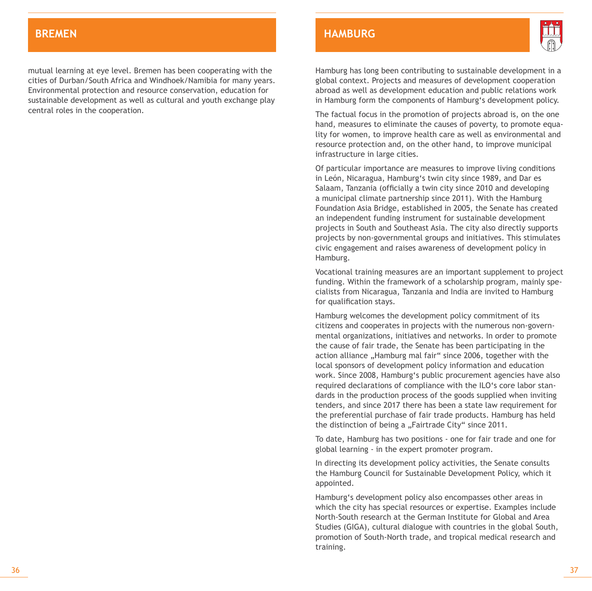mutual learning at eye level. Bremen has been cooperating with the cities of Durban/South Africa and Windhoek/Namibia for many years. Environmental protection and resource conservation, education for sustainable development as well as cultural and youth exchange play central roles in the cooperation.

### **BREMEN HAMBURG**



Hamburg has long been contributing to sustainable development in a global context. Projects and measures of development cooperation abroad as well as development education and public relations work in Hamburg form the components of Hamburg's development policy.

The factual focus in the promotion of projects abroad is, on the one hand, measures to eliminate the causes of poverty, to promote equality for women, to improve health care as well as environmental and resource protection and, on the other hand, to improve municipal infrastructure in large cities.

Of particular importance are measures to improve living conditions in León, Nicaragua, Hamburg's twin city since 1989, and Dar es Salaam, Tanzania (officially a twin city since 2010 and developing a municipal climate partnership since 2011). With the Hamburg Foundation Asia Bridge, established in 2005, the Senate has created an independent funding instrument for sustainable development projects in South and Southeast Asia. The city also directly supports projects by non-governmental groups and initiatives. This stimulates civic engagement and raises awareness of development policy in Hamburg.

Vocational training measures are an important supplement to project funding. Within the framework of a scholarship program, mainly specialists from Nicaragua, Tanzania and India are invited to Hamburg for qualification stays.

Hamburg welcomes the development policy commitment of its citizens and cooperates in projects with the numerous non-governmental organizations, initiatives and networks. In order to promote the cause of fair trade, the Senate has been participating in the action alliance "Hamburg mal fair" since 2006, together with the local sponsors of development policy information and education work. Since 2008, Hamburg's public procurement agencies have also required declarations of compliance with the ILO's core labor standards in the production process of the goods supplied when inviting tenders, and since 2017 there has been a state law requirement for the preferential purchase of fair trade products. Hamburg has held the distinction of being a "Fairtrade City" since 2011.

To date, Hamburg has two positions - one for fair trade and one for global learning - in the expert promoter program.

In directing its development policy activities, the Senate consults the Hamburg Council for Sustainable Development Policy, which it appointed.

Hamburg's development policy also encompasses other areas in which the city has special resources or expertise. Examples include North-South research at the German Institute for Global and Area Studies (GIGA), cultural dialogue with countries in the global South, promotion of South-North trade, and tropical medical research and training.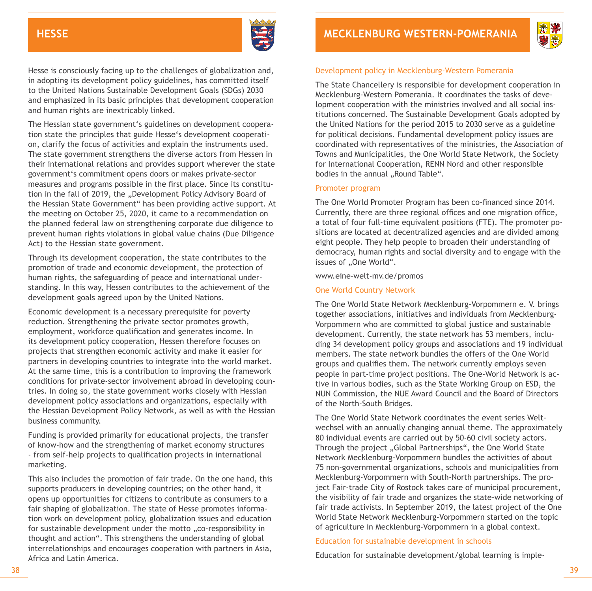

Hesse is consciously facing up to the challenges of globalization and, in adopting its development policy guidelines, has committed itself to the United Nations Sustainable Development Goals (SDGs) 2030 and emphasized in its basic principles that development cooperation and human rights are inextricably linked.

The Hessian state government's guidelines on development cooperation state the principles that guide Hesse's development cooperation, clarify the focus of activities and explain the instruments used. The state government strengthens the diverse actors from Hessen in their international relations and provides support wherever the state government's commitment opens doors or makes private-sector measures and programs possible in the first place. Since its constitution in the fall of 2019, the "Development Policy Advisory Board of the Hessian State Government" has been providing active support. At the meeting on October 25, 2020, it came to a recommendation on the planned federal law on strengthening corporate due diligence to prevent human rights violations in global value chains (Due Diligence Act) to the Hessian state government.

Through its development cooperation, the state contributes to the promotion of trade and economic development, the protection of human rights, the safeguarding of peace and international understanding. In this way, Hessen contributes to the achievement of the development goals agreed upon by the United Nations.

Economic development is a necessary prerequisite for poverty reduction. Strengthening the private sector promotes growth, employment, workforce qualification and generates income. In its development policy cooperation, Hessen therefore focuses on projects that strengthen economic activity and make it easier for partners in developing countries to integrate into the world market. At the same time, this is a contribution to improving the framework conditions for private-sector involvement abroad in developing countries. In doing so, the state government works closely with Hessian development policy associations and organizations, especially with the Hessian Development Policy Network, as well as with the Hessian business community.

Funding is provided primarily for educational projects, the transfer of know-how and the strengthening of market economy structures - from self-help projects to qualification projects in international marketing.

This also includes the promotion of fair trade. On the one hand, this supports producers in developing countries; on the other hand, it opens up opportunities for citizens to contribute as consumers to a fair shaping of globalization. The state of Hesse promotes information work on development policy, globalization issues and education for sustainable development under the motto "co-responsibility in thought and action". This strengthens the understanding of global interrelationships and encourages cooperation with partners in Asia, Africa and Latin America.



#### Development policy in Mecklenburg-Western Pomerania

The State Chancellery is responsible for development cooperation in Mecklenburg-Western Pomerania. It coordinates the tasks of development cooperation with the ministries involved and all social institutions concerned. The Sustainable Development Goals adopted by the United Nations for the period 2015 to 2030 serve as a guideline for political decisions. Fundamental development policy issues are coordinated with representatives of the ministries, the Association of Towns and Municipalities, the One World State Network, the Society for International Cooperation, RENN Nord and other responsible bodies in the annual ..Round Table".

#### Promoter program

The One World Promoter Program has been co-financed since 2014. Currently, there are three regional offices and one migration office, a total of four full-time equivalent positions (FTE). The promoter positions are located at decentralized agencies and are divided among eight people. They help people to broaden their understanding of democracy, human rights and social diversity and to engage with the issues of ..One World".

www.eine-welt-mv.de/promos

#### One World Country Network

The One World State Network Mecklenburg-Vorpommern e. V. brings together associations, initiatives and individuals from Mecklenburg-Vorpommern who are committed to global justice and sustainable development. Currently, the state network has 53 members, including 34 development policy groups and associations and 19 individual members. The state network bundles the offers of the One World groups and qualifies them. The network currently employs seven people in part-time project positions. The One-World Network is active in various bodies, such as the State Working Group on ESD, the NUN Commission, the NUE Award Council and the Board of Directors of the North-South Bridges.

The One World State Network coordinates the event series Weltwechsel with an annually changing annual theme. The approximately 80 individual events are carried out by 50-60 civil society actors. Through the project "Global Partnerships", the One World State Network Mecklenburg-Vorpommern bundles the activities of about 75 non-governmental organizations, schools and municipalities from Mecklenburg-Vorpommern with South-North partnerships. The project Fair-trade City of Rostock takes care of municipal procurement, the visibility of fair trade and organizes the state-wide networking of fair trade activists. In September 2019, the latest project of the One World State Network Mecklenburg-Vorpommern started on the topic of agriculture in Mecklenburg-Vorpommern in a global context.

#### Education for sustainable development in schools

Education for sustainable development/global learning is imple-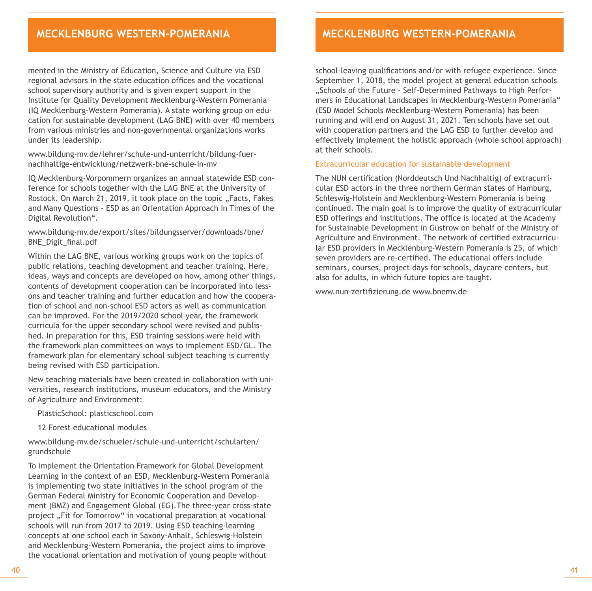### **MECKLENBURG WESTERN-P**

mented in the Ministry of Education, Science and Culture via ESD regional advisors in the state education offices and the vocational school supervisory authority and is given expert support in the Institute for Quality Development Mecklenburg-Western Pomerania (IQ Mecklenburg-Western Pomerania). A state working group on education for sustainable development (LAG BNE) with over 40 members from various ministries and non-governmental organizations works under its leadership.

www.bildung-mv.de/lehrer/schule-und-unterricht/bildung-fuernachhaltige-entwicklung/netzwerk-bne-schule-in-mv

IQ Mecklenburg-Vorpommern organizes an annual statewide ESD conference for schools together with the LAG BNE at the University of Rostock. On March 21, 2019, it took place on the topic "Facts, Fakes and Many Questions - ESD as an Orientation Approach in Times of the Digital Revolution".

www.bildung-mv.de/export/sites/bildungsserver/downloads/bne/ BNE\_Digit\_final.pdf

Within the LAG BNE, various working groups work on the topics of public relations, teaching development and teacher training. Here, ideas, ways and concepts are developed on how, among other things, contents of development cooperation can be incorporated into lessons and teacher training and further education and how the cooperation of school and non-school ESD actors as well as communication can be improved. For the 2019/2020 school year, the framework curricula for the upper secondary school were revised and published. In preparation for this, ESD training sessions were held with the framework plan committees on ways to implement ESD/GL. The framework plan for elementary school subject teaching is currently being revised with ESD participation.

New teaching materials have been created in collaboration with universities, research institutions, museum educators, and the Ministry of Agriculture and Environment:

PlasticSchool: plasticschool.com

12 Forest educational modules

www.bildung-mv.de/schueler/schule-und-unterricht/schularten/ grundschule

To implement the Orientation Framework for Global Development Learning in the context of an ESD, Mecklenburg-Western Pomerania is implementing two state initiatives in the school program of the German Federal Ministry for Economic Cooperation and Development (BMZ) and Engagement Global (EG).The three-year cross-state project "Fit for Tomorrow" in vocational preparation at vocational schools will run from 2017 to 2019. Using ESD teaching-learning concepts at one school each in Saxony-Anhalt, Schleswig-Holstein and Mecklenburg-Western Pomerania, the project aims to improve the vocational orientation and motivation of young people without

### **Mecklenburg wESTERN-POMERANIA**

school-leaving qualifications and/or with refugee experience. Since September 1, 2018, the model project at general education schools ..Schools of the Future - Self-Determined Pathways to High Performers in Educational Landscapes in Mecklenburg-Western Pomerania" (ESD Model Schools Mecklenburg-Western Pomerania) has been running and will end on August 31, 2021. Ten schools have set out with cooperation partners and the LAG ESD to further develop and effectively implement the holistic approach (whole school approach) at their schools.

#### Extracurricular education for sustainable development

The NUN certification (Norddeutsch Und Nachhaltig) of extracurricular ESD actors in the three northern German states of Hamburg, Schleswig-Holstein and Mecklenburg-Western Pomerania is being continued. The main goal is to improve the quality of extracurricular ESD offerings and institutions. The office is located at the Academy for Sustainable Development in Güstrow on behalf of the Ministry of Agriculture and Environment. The network of certified extracurricular ESD providers in Mecklenburg-Western Pomerania is 25, of which seven providers are re-certified. The educational offers include seminars, courses, project days for schools, daycare centers, but also for adults, in which future topics are taught.

www.nun-zertifizierung.de www.bnemv.de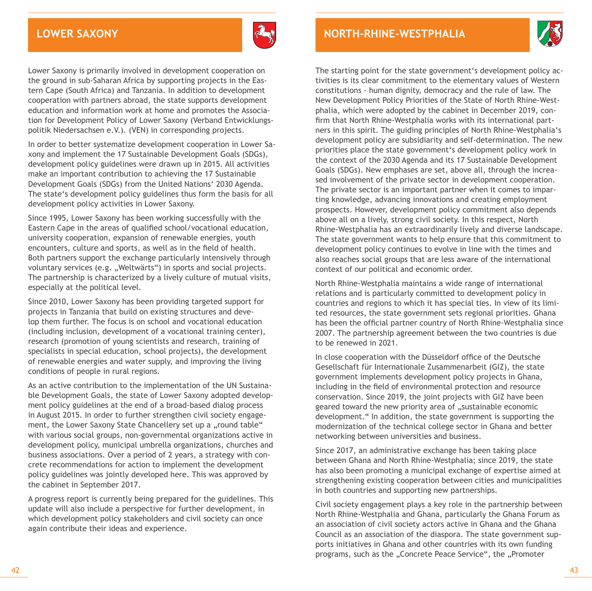

Lower Saxony is primarily involved in development cooperation on the ground in sub-Saharan Africa by supporting projects in the Eastern Cape (South Africa) and Tanzania. In addition to development cooperation with partners abroad, the state supports development education and information work at home and promotes the Association for Development Policy of Lower Saxony (Verband Entwicklungspolitik Niedersachsen e.V.). (VEN) in corresponding projects.

In order to better systematize development cooperation in Lower Saxony and implement the 17 Sustainable Development Goals (SDGs), development policy guidelines were drawn up in 2015. All activities make an important contribution to achieving the 17 Sustainable Development Goals (SDGs) from the United Nations' 2030 Agenda. The state's development policy guidelines thus form the basis for all development policy activities in Lower Saxony.

Since 1995, Lower Saxony has been working successfully with the Eastern Cape in the areas of qualified school/vocational education, university cooperation, expansion of renewable energies, youth encounters, culture and sports, as well as in the field of health. Both partners support the exchange particularly intensively through voluntary services (e.g. ..Weltwärts") in sports and social projects. The partnership is characterized by a lively culture of mutual visits, especially at the political level.

Since 2010, Lower Saxony has been providing targeted support for projects in Tanzania that build on existing structures and develop them further. The focus is on school and vocational education (including inclusion, development of a vocational training center), research (promotion of young scientists and research, training of specialists in special education, school projects), the development of renewable energies and water supply, and improving the living conditions of people in rural regions.

As an active contribution to the implementation of the UN Sustainable Development Goals, the state of Lower Saxony adopted development policy guidelines at the end of a broad-based dialog process in August 2015. In order to further strengthen civil society engagement, the Lower Saxony State Chancellery set up a ..round table" with various social groups, non-governmental organizations active in development policy, municipal umbrella organizations, churches and business associations. Over a period of 2 years, a strategy with concrete recommendations for action to implement the development policy guidelines was jointly developed here. This was approved by the cabinet in September 2017.

A progress report is currently being prepared for the guidelines. This update will also include a perspective for further development, in which development policy stakeholders and civil society can once again contribute their ideas and experience.



The starting point for the state government's development policy activities is its clear commitment to the elementary values of Western constitutions - human dignity, democracy and the rule of law. The New Development Policy Priorities of the State of North Rhine-Westphalia, which were adopted by the cabinet in December 2019, confirm that North Rhine-Westphalia works with its international partners in this spirit. The guiding principles of North Rhine-Westphalia's development policy are subsidiarity and self-determination. The new priorities place the state government's development policy work in the context of the 2030 Agenda and its 17 Sustainable Development Goals (SDGs). New emphases are set, above all, through the increased involvement of the private sector in development cooperation. The private sector is an important partner when it comes to imparting knowledge, advancing innovations and creating employment prospects. However, development policy commitment also depends above all on a lively, strong civil society. In this respect, North Rhine-Westphalia has an extraordinarily lively and diverse landscape. The state government wants to help ensure that this commitment to development policy continues to evolve in line with the times and also reaches social groups that are less aware of the international context of our political and economic order.

North Rhine-Westphalia maintains a wide range of international relations and is particularly committed to development policy in countries and regions to which it has special ties. In view of its limited resources, the state government sets regional priorities. Ghana has been the official partner country of North Rhine-Westphalia since 2007. The partnership agreement between the two countries is due to be renewed in 2021.

In close cooperation with the Düsseldorf office of the Deutsche Gesellschaft für Internationale Zusammenarbeit (GIZ), the state government implements development policy projects in Ghana, including in the field of environmental protection and resource conservation. Since 2019, the joint projects with GIZ have been geared toward the new priority area of "sustainable economic development." In addition, the state government is supporting the modernization of the technical college sector in Ghana and better networking between universities and business.

Since 2017, an administrative exchange has been taking place between Ghana and North Rhine-Westphalia; since 2019, the state has also been promoting a municipal exchange of expertise aimed at strengthening existing cooperation between cities and municipalities in both countries and supporting new partnerships.

Civil society engagement plays a key role in the partnership between North Rhine-Westphalia and Ghana, particularly the Ghana Forum as an association of civil society actors active in Ghana and the Ghana Council as an association of the diaspora. The state government supports initiatives in Ghana and other countries with its own funding programs, such as the "Concrete Peace Service", the "Promoter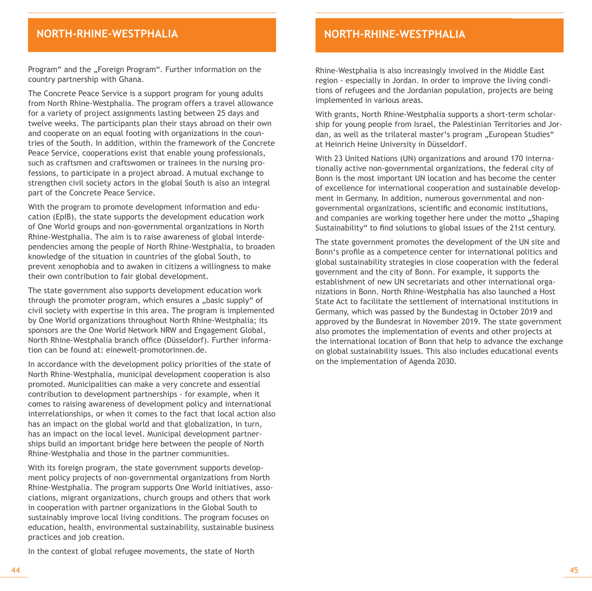### **BADEN-BAYERNINE-WESTPHALIA**

Program" and the "Foreign Program". Further information on the country partnership with Ghana.

The Concrete Peace Service is a support program for young adults from North Rhine-Westphalia. The program offers a travel allowance for a variety of project assignments lasting between 25 days and twelve weeks. The participants plan their stays abroad on their own and cooperate on an equal footing with organizations in the countries of the South. In addition, within the framework of the Concrete Peace Service, cooperations exist that enable young professionals, such as craftsmen and craftswomen or trainees in the nursing professions, to participate in a project abroad. A mutual exchange to strengthen civil society actors in the global South is also an integral part of the Concrete Peace Service.

With the program to promote development information and education (EpIB), the state supports the development education work of One World groups and non-governmental organizations in North Rhine-Westphalia. The aim is to raise awareness of global interdependencies among the people of North Rhine-Westphalia, to broaden knowledge of the situation in countries of the global South, to prevent xenophobia and to awaken in citizens a willingness to make their own contribution to fair global development.

The state government also supports development education work through the promoter program, which ensures a "basic supply" of civil society with expertise in this area. The program is implemented by One World organizations throughout North Rhine-Westphalia; its sponsors are the One World Network NRW and Engagement Global, North Rhine-Westphalia branch office (Düsseldorf). Further information can be found at: einewelt-promotorinnen.de.

In accordance with the development policy priorities of the state of North Rhine-Westphalia, municipal development cooperation is also promoted. Municipalities can make a very concrete and essential contribution to development partnerships - for example, when it comes to raising awareness of development policy and international interrelationships, or when it comes to the fact that local action also has an impact on the global world and that globalization, in turn, has an impact on the local level. Municipal development partnerships build an important bridge here between the people of North Rhine-Westphalia and those in the partner communities.

With its foreign program, the state government supports development policy projects of non-governmental organizations from North Rhine-Westphalia. The program supports One World initiatives, associations, migrant organizations, church groups and others that work in cooperation with partner organizations in the Global South to sustainably improve local living conditions. The program focuses on education, health, environmental sustainability, sustainable business practices and job creation.

**North-rhine-westphalia**

Rhine-Westphalia is also increasingly involved in the Middle East region - especially in Jordan. In order to improve the living conditions of refugees and the Jordanian population, projects are being implemented in various areas.

With grants, North Rhine-Westphalia supports a short-term scholarship for young people from Israel, the Palestinian Territories and Jordan, as well as the trilateral master's program "European Studies" at Heinrich Heine University in Düsseldorf.

With 23 United Nations (UN) organizations and around 170 internationally active non-governmental organizations, the federal city of Bonn is the most important UN location and has become the center of excellence for international cooperation and sustainable development in Germany. In addition, numerous governmental and nongovernmental organizations, scientific and economic institutions, and companies are working together here under the motto . Shaping Sustainability" to find solutions to global issues of the 21st century.

The state government promotes the development of the UN site and Bonn's profile as a competence center for international politics and global sustainability strategies in close cooperation with the federal government and the city of Bonn. For example, it supports the establishment of new UN secretariats and other international organizations in Bonn. North Rhine-Westphalia has also launched a Host State Act to facilitate the settlement of international institutions in Germany, which was passed by the Bundestag in October 2019 and approved by the Bundesrat in November 2019. The state government also promotes the implementation of events and other projects at the international location of Bonn that help to advance the exchange on global sustainability issues. This also includes educational events on the implementation of Agenda 2030.

In the context of global refugee movements, the state of North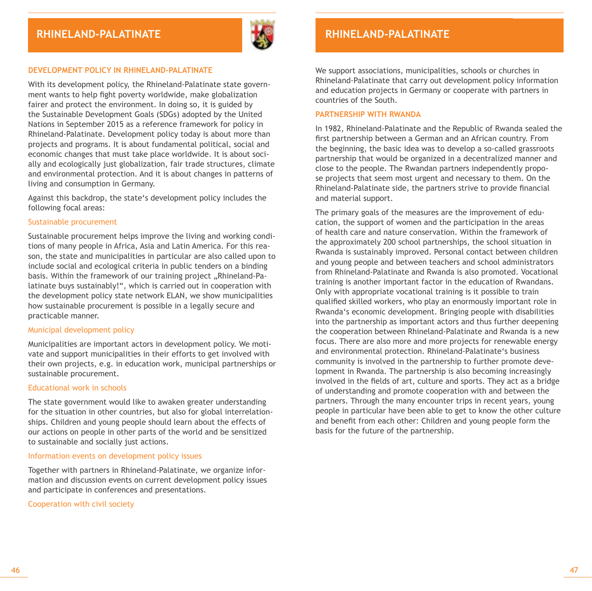

#### **DEVELOPMENT POLICY IN RHINELAND-PALATINATE**

With its development policy, the Rhineland-Palatinate state government wants to help fight poverty worldwide, make globalization fairer and protect the environment. In doing so, it is guided by the Sustainable Development Goals (SDGs) adopted by the United Nations in September 2015 as a reference framework for policy in Rhineland-Palatinate. Development policy today is about more than projects and programs. It is about fundamental political, social and economic changes that must take place worldwide. It is about socially and ecologically just globalization, fair trade structures, climate and environmental protection. And it is about changes in patterns of living and consumption in Germany.

Against this backdrop, the state's development policy includes the following focal areas:

#### Sustainable procurement

Sustainable procurement helps improve the living and working conditions of many people in Africa, Asia and Latin America. For this reason, the state and municipalities in particular are also called upon to include social and ecological criteria in public tenders on a binding basis. Within the framework of our training project ..Rhineland-Palatinate buys sustainably!", which is carried out in cooperation with the development policy state network ELAN, we show municipalities how sustainable procurement is possible in a legally secure and practicable manner.

#### Municipal development policy

Municipalities are important actors in development policy. We motivate and support municipalities in their efforts to get involved with their own projects, e.g. in education work, municipal partnerships or sustainable procurement.

#### Educational work in schools

The state government would like to awaken greater understanding for the situation in other countries, but also for global interrelationships. Children and young people should learn about the effects of our actions on people in other parts of the world and be sensitized to sustainable and socially just actions.

#### Information events on development policy issues

Together with partners in Rhineland-Palatinate, we organize information and discussion events on current development policy issues and participate in conferences and presentations.

Cooperation with civil society

### $\overline{R}$ **BADELAND-PALATINATE**

We support associations, municipalities, schools or churches in Rhineland-Palatinate that carry out development policy information and education projects in Germany or cooperate with partners in countries of the South.

#### **PARTNERSHIP WITH RWANDA**

In 1982, Rhineland-Palatinate and the Republic of Rwanda sealed the first partnership between a German and an African country. From the beginning, the basic idea was to develop a so-called grassroots partnership that would be organized in a decentralized manner and close to the people. The Rwandan partners independently propose projects that seem most urgent and necessary to them. On the Rhineland-Palatinate side, the partners strive to provide financial and material support.

The primary goals of the measures are the improvement of education, the support of women and the participation in the areas of health care and nature conservation. Within the framework of the approximately 200 school partnerships, the school situation in Rwanda is sustainably improved. Personal contact between children and young people and between teachers and school administrators from Rhineland-Palatinate and Rwanda is also promoted. Vocational training is another important factor in the education of Rwandans. Only with appropriate vocational training is it possible to train qualified skilled workers, who play an enormously important role in Rwanda's economic development. Bringing people with disabilities into the partnership as important actors and thus further deepening the cooperation between Rhineland-Palatinate and Rwanda is a new focus. There are also more and more projects for renewable energy and environmental protection. Rhineland-Palatinate's business community is involved in the partnership to further promote development in Rwanda. The partnership is also becoming increasingly involved in the fields of art, culture and sports. They act as a bridge of understanding and promote cooperation with and between the partners. Through the many encounter trips in recent years, young people in particular have been able to get to know the other culture and benefit from each other: Children and young people form the basis for the future of the partnership.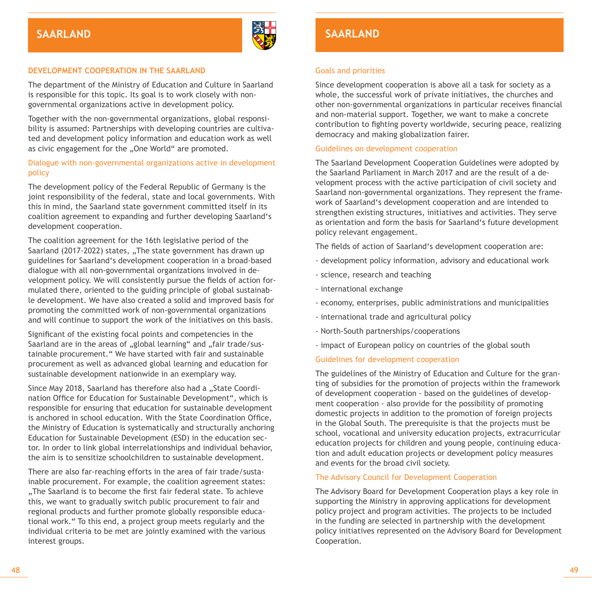

#### **DEVELOPMENT COOPERATION IN THE SAARLAND**

The department of the Ministry of Education and Culture in Saarland is responsible for this topic. Its goal is to work closely with nongovernmental organizations active in development policy.

Together with the non-governmental organizations, global responsibility is assumed: Partnerships with developing countries are cultivated and development policy information and education work as well as civic engagement for the ..One World" are promoted.

#### Dialogue with non-governmental organizations active in development policy

The development policy of the Federal Republic of Germany is the joint responsibility of the federal, state and local governments. With this in mind, the Saarland state government committed itself in its coalition agreement to expanding and further developing Saarland's development cooperation.

The coalition agreement for the 16th legislative period of the Saarland (2017-2022) states, "The state government has drawn up guidelines for Saarland's development cooperation in a broad-based dialogue with all non-governmental organizations involved in development policy. We will consistently pursue the fields of action formulated there, oriented to the guiding principle of global sustainable development. We have also created a solid and improved basis for promoting the committed work of non-governmental organizations and will continue to support the work of the initiatives on this basis.

Significant of the existing focal points and competencies in the Saarland are in the areas of "global learning" and "fair trade/sustainable procurement." We have started with fair and sustainable procurement as well as advanced global learning and education for sustainable development nationwide in an exemplary way.

Since May 2018, Saarland has therefore also had a "State Coordination Office for Education for Sustainable Development", which is responsible for ensuring that education for sustainable development is anchored in school education. With the State Coordination Office, the Ministry of Education is systematically and structurally anchoring Education for Sustainable Development (ESD) in the education sector. In order to link global interrelationships and individual behavior, the aim is to sensitize schoolchildren to sustainable development.

There are also far-reaching efforts in the area of fair trade/sustainable procurement. For example, the coalition agreement states: ..The Saarland is to become the first fair federal state. To achieve this, we want to gradually switch public procurement to fair and regional products and further promote globally responsible educational work." To this end, a project group meets regularly and the individual criteria to be met are jointly examined with the various interest groups.

### **Saarland Saarland**

#### Goals and priorities

Since development cooperation is above all a task for society as a whole, the successful work of private initiatives, the churches and other non-governmental organizations in particular receives financial and non-material support. Together, we want to make a concrete contribution to fighting poverty worldwide, securing peace, realizing democracy and making globalization fairer.

#### Guidelines on development cooperation

The Saarland Development Cooperation Guidelines were adopted by the Saarland Parliament in March 2017 and are the result of a development process with the active participation of civil society and Saarland non-governmental organizations. They represent the framework of Saarland's development cooperation and are intended to strengthen existing structures, initiatives and activities. They serve as orientation and form the basis for Saarland's future development policy relevant engagement.

The fields of action of Saarland's development cooperation are:

- development policy information, advisory and educational work
- science, research and teaching
- international exchange
- economy, enterprises, public administrations and municipalities
- international trade and agricultural policy
- North-South partnerships/cooperations
- impact of European policy on countries of the global south

#### Guidelines for development cooperation

The guidelines of the Ministry of Education and Culture for the granting of subsidies for the promotion of projects within the framework of development cooperation - based on the guidelines of development cooperation - also provide for the possibility of promoting domestic projects in addition to the promotion of foreign projects in the Global South. The prerequisite is that the projects must be school, vocational and university education projects, extracurricular education projects for children and young people, continuing education and adult education projects or development policy measures and events for the broad civil society.

#### The Advisory Council for Development Cooperation

The Advisory Board for Development Cooperation plays a key role in supporting the Ministry in approving applications for development policy project and program activities. The projects to be included in the funding are selected in partnership with the development policy initiatives represented on the Advisory Board for Development Cooperation.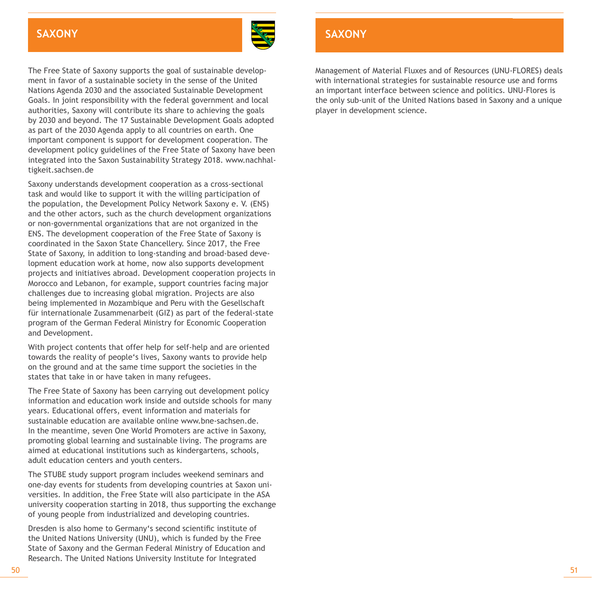#### **BAXONY** BAGERY BERGERY AND SALE IN THE SALE IN THE SALE IS A SALE IN THE SALE IS A SALE IS A SALE IS A SALE IS A **Saxony**



The Free State of Saxony supports the goal of sustainable development in favor of a sustainable society in the sense of the United Nations Agenda 2030 and the associated Sustainable Development Goals. In joint responsibility with the federal government and local authorities, Saxony will contribute its share to achieving the goals by 2030 and beyond. The 17 Sustainable Development Goals adopted as part of the 2030 Agenda apply to all countries on earth. One important component is support for development cooperation. The development policy guidelines of the Free State of Saxony have been integrated into the Saxon Sustainability Strategy 2018. www.nachhaltigkeit.sachsen.de

Saxony understands development cooperation as a cross-sectional task and would like to support it with the willing participation of the population, the Development Policy Network Saxony e. V. (ENS) and the other actors, such as the church development organizations or non-governmental organizations that are not organized in the ENS. The development cooperation of the Free State of Saxony is coordinated in the Saxon State Chancellery. Since 2017, the Free State of Saxony, in addition to long-standing and broad-based development education work at home, now also supports development projects and initiatives abroad. Development cooperation projects in Morocco and Lebanon, for example, support countries facing major challenges due to increasing global migration. Projects are also being implemented in Mozambique and Peru with the Gesellschaft für internationale Zusammenarbeit (GIZ) as part of the federal-state program of the German Federal Ministry for Economic Cooperation and Development.

With project contents that offer help for self-help and are oriented towards the reality of people's lives, Saxony wants to provide help on the ground and at the same time support the societies in the states that take in or have taken in many refugees.

The Free State of Saxony has been carrying out development policy information and education work inside and outside schools for many years. Educational offers, event information and materials for sustainable education are available online www.bne-sachsen.de. In the meantime, seven One World Promoters are active in Saxony, promoting global learning and sustainable living. The programs are aimed at educational institutions such as kindergartens, schools, adult education centers and youth centers.

The STUBE study support program includes weekend seminars and one-day events for students from developing countries at Saxon universities. In addition, the Free State will also participate in the ASA university cooperation starting in 2018, thus supporting the exchange of young people from industrialized and developing countries.

Dresden is also home to Germany's second scientific institute of the United Nations University (UNU), which is funded by the Free State of Saxony and the German Federal Ministry of Education and Research. The United Nations University Institute for Integrated

### **Saxony**

Management of Material Fluxes and of Resources (UNU-FLORES) deals with international strategies for sustainable resource use and forms an important interface between science and politics. UNU-Flores is the only sub-unit of the United Nations based in Saxony and a unique player in development science.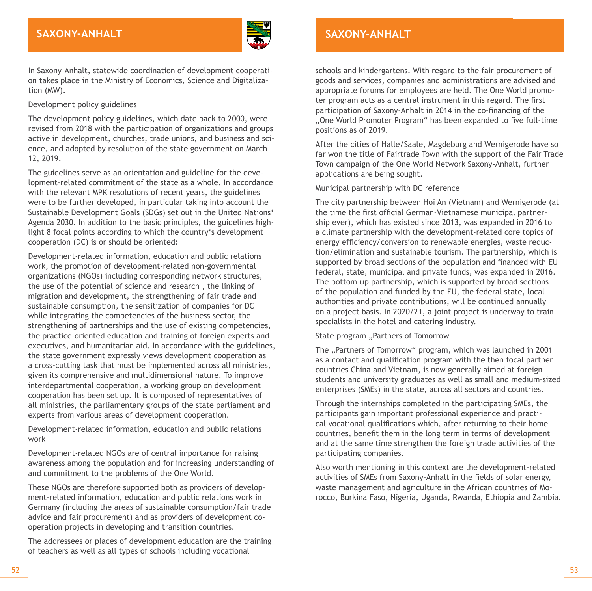### **Baden-Württemberg in the same of the same of the same of the same of the same of the same of the same of the same of the same of the same of the same of the same of the same of the same of the same of the same of the same**



In Saxony-Anhalt, statewide coordination of development cooperation takes place in the Ministry of Economics, Science and Digitalization (MW).

#### Development policy guidelines

The development policy guidelines, which date back to 2000, were revised from 2018 with the participation of organizations and groups active in development, churches, trade unions, and business and science, and adopted by resolution of the state government on March 12, 2019.

The guidelines serve as an orientation and guideline for the development-related commitment of the state as a whole. In accordance with the relevant MPK resolutions of recent years, the guidelines were to be further developed, in particular taking into account the Sustainable Development Goals (SDGs) set out in the United Nations' Agenda 2030. In addition to the basic principles, the guidelines highlight 8 focal points according to which the country's development cooperation (DC) is or should be oriented:

Development-related information, education and public relations work, the promotion of development-related non-governmental organizations (NGOs) including corresponding network structures, the use of the potential of science and research , the linking of migration and development, the strengthening of fair trade and sustainable consumption, the sensitization of companies for DC while integrating the competencies of the business sector, the strengthening of partnerships and the use of existing competencies, the practice-oriented education and training of foreign experts and executives, and humanitarian aid. In accordance with the guidelines, the state government expressly views development cooperation as a cross-cutting task that must be implemented across all ministries, given its comprehensive and multidimensional nature. To improve interdepartmental cooperation, a working group on development cooperation has been set up. It is composed of representatives of all ministries, the parliamentary groups of the state parliament and experts from various areas of development cooperation.

Development-related information, education and public relations work

Development-related NGOs are of central importance for raising awareness among the population and for increasing understanding of and commitment to the problems of the One World.

These NGOs are therefore supported both as providers of development-related information, education and public relations work in Germany (including the areas of sustainable consumption/fair trade advice and fair procurement) and as providers of development cooperation projects in developing and transition countries.

The addressees or places of development education are the training of teachers as well as all types of schools including vocational

### **Saxony-Anhalt**

schools and kindergartens. With regard to the fair procurement of goods and services, companies and administrations are advised and appropriate forums for employees are held. The One World promoter program acts as a central instrument in this regard. The first participation of Saxony-Anhalt in 2014 in the co-financing of the "One World Promoter Program" has been expanded to five full-time positions as of 2019.

After the cities of Halle/Saale, Magdeburg and Wernigerode have so far won the title of Fairtrade Town with the support of the Fair Trade Town campaign of the One World Network Saxony-Anhalt, further applications are being sought.

Municipal partnership with DC reference

The city partnership between Hoi An (Vietnam) and Wernigerode (at the time the first official German-Vietnamese municipal partnership ever), which has existed since 2013, was expanded in 2016 to a climate partnership with the development-related core topics of energy efficiency/conversion to renewable energies, waste reduction/elimination and sustainable tourism. The partnership, which is supported by broad sections of the population and financed with EU federal, state, municipal and private funds, was expanded in 2016. The bottom-up partnership, which is supported by broad sections of the population and funded by the EU, the federal state, local authorities and private contributions, will be continued annually on a project basis. In 2020/21, a joint project is underway to train specialists in the hotel and catering industry.

#### State program ...Partners of Tomorrow

The "Partners of Tomorrow" program, which was launched in 2001 as a contact and qualification program with the then focal partner countries China and Vietnam, is now generally aimed at foreign students and university graduates as well as small and medium-sized enterprises (SMEs) in the state, across all sectors and countries.

Through the internships completed in the participating SMEs, the participants gain important professional experience and practical vocational qualifications which, after returning to their home countries, benefit them in the long term in terms of development and at the same time strengthen the foreign trade activities of the participating companies.

Also worth mentioning in this context are the development-related activities of SMEs from Saxony-Anhalt in the fields of solar energy, waste management and agriculture in the African countries of Morocco, Burkina Faso, Nigeria, Uganda, Rwanda, Ethiopia and Zambia.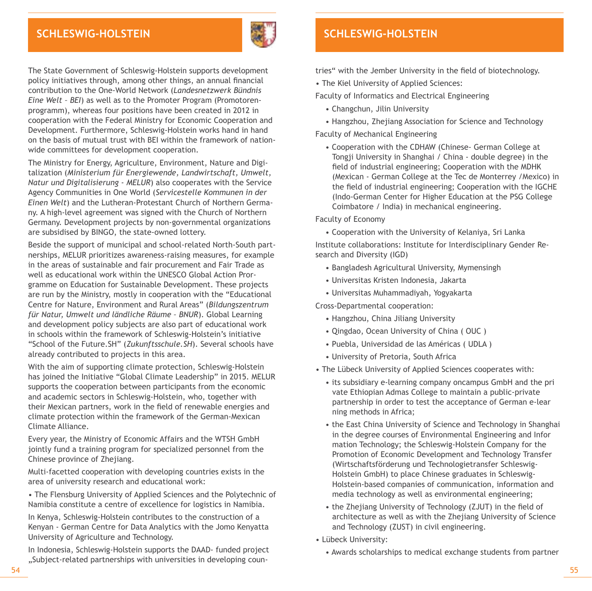### **Schleswig-Holstein**



The State Government of Schleswig-Holstein supports development policy initiatives through, among other things, an annual financial contribution to the One-World Network (*Landesnetzwerk Bündnis Eine Welt – BEI*) as well as to the Promoter Program (Promotorenprogramm), whereas four positions have been created in 2012 in cooperation with the Federal Ministry for Economic Cooperation and Development. Furthermore, Schleswig-Holstein works hand in hand on the basis of mutual trust with BEI within the framework of nationwide committees for development cooperation.

The Ministry for Energy, Agriculture, Environment, Nature and Digitalization (*Ministerium für Energiewende, Landwirtschaft, Umwelt, Natur und Digitalisierung - MELUR*) also cooperates with the Service Agency Communities in One World (*Servicestelle Kommunen in der Einen Welt*) and the Lutheran-Protestant Church of Northern Germany. A high-level agreement was signed with the Church of Northern Germany. Development projects by non-governmental organizations are subsidised by BINGO, the state-owned lottery.

Beside the support of municipal and school-related North-South partnerships, MELUR prioritizes awareness-raising measures, for example in the areas of sustainable and fair procurement and Fair Trade as well as educational work within the UNESCO Global Action Prorgramme on Education for Sustainable Development. These projects are run by the Ministry, mostly in cooperation with the "Educational Centre for Nature, Environment and Rural Areas" (*Bildungszentrum für Natur, Umwelt und ländliche Räume – BNUR*). Global Learning and development policy subjects are also part of educational work in schools within the framework of Schleswig-Holstein's initiative "School of the Future.SH" (*Zukunftsschule.SH*). Several schools have already contributed to projects in this area.

With the aim of supporting climate protection, Schleswig-Holstein has joined the Initiative "Global Climate Leadership" in 2015. MELUR supports the cooperation between participants from the economic and academic sectors in Schleswig-Holstein, who, together with their Mexican partners, work in the field of renewable energies and climate protection within the framework of the German-Mexican Climate Alliance.

Every year, the Ministry of Economic Affairs and the WTSH GmbH jointly fund a training program for specialized personnel from the Chinese province of Zhejiang.

Multi-facetted cooperation with developing countries exists in the area of university research and educational work:

• The Flensburg University of Applied Sciences and the Polytechnic of Namibia constitute a centre of excellence for logistics in Namibia.

In Kenya, Schleswig-Holstein contributes to the construction of a Kenyan - German Centre for Data Analytics with the Jomo Kenyatta University of Agriculture and Technology.

In Indonesia, Schleswig-Holstein supports the DAAD- funded project "Subject-related partnerships with universities in developing coun-

### **Schleswig-Holstein**

tries" with the Jember University in the field of biotechnology.

• The Kiel University of Applied Sciences:

Faculty of Informatics and Electrical Engineering

- Changchun, Jilin University
- Hangzhou, Zhejiang Association for Science and Technology
- Faculty of Mechanical Engineering
	- Cooperation with the CDHAW (Chinese- German College at Tongji University in Shanghai / China - double degree) in the field of industrial engineering; Cooperation with the MDHK (Mexican - German College at the Tec de Monterrey /Mexico) in the field of industrial engineering; Cooperation with the IGCHE (Indo-German Center for Higher Education at the PSG College Coimbatore / India) in mechanical engineering.

#### Faculty of Economy

• Cooperation with the University of Kelaniya, Sri Lanka

Institute collaborations: Institute for Interdisciplinary Gender Research and Diversity (IGD)

- Bangladesh Agricultural University, Mymensingh
- Universitas Kristen Indonesia, Jakarta
- Universitas Muhammadiyah, Yogyakarta

Cross-Departmental cooperation:

- Hangzhou, China Jiliang University
- Qingdao, Ocean University of China ( OUC )
- Puebla, Universidad de las Américas ( UDLA )
- University of Pretoria, South Africa

• The Lübeck University of Applied Sciences cooperates with:

- its subsidiary e-learning company oncampus GmbH and the pri vate Ethiopian Admas College to maintain a public-private partnership in order to test the acceptance of German e-lear ning methods in Africa;
- the East China University of Science and Technology in Shanghai in the degree courses of Environmental Engineering and Infor mation Technology; the Schleswig-Holstein Company for the Promotion of Economic Development and Technology Transfer (Wirtschaftsförderung und Technologietransfer Schleswig- Holstein GmbH) to place Chinese graduates in Schleswig- Holstein-based companies of communication, information and media technology as well as environmental engineering;
- the Zhejiang University of Technology (ZJUT) in the field of architecture as well as with the Zhejiang University of Science and Technology (ZUST) in civil engineering.
- Lübeck University:
	- Awards scholarships to medical exchange students from partner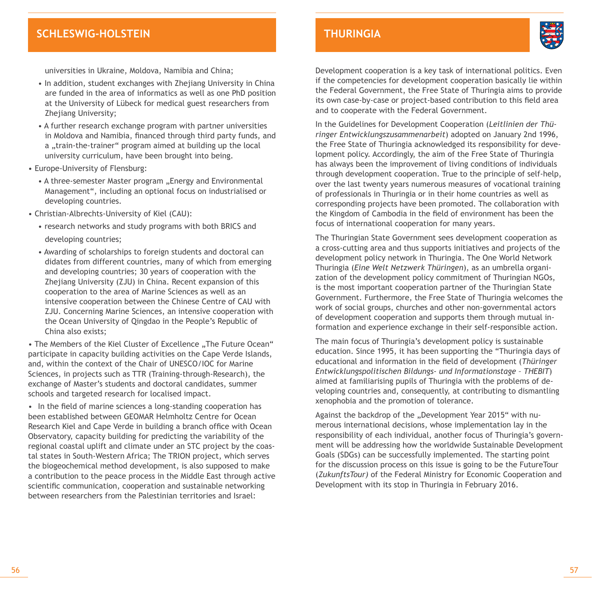### **Baden-Württemberg BAYERN Schleswig-Holstein**

universities in Ukraine, Moldova, Namibia and China;

- In addition, student exchanges with Zhejiang University in China are funded in the area of informatics as well as one PhD position at the University of Lübeck for medical guest researchers from Zhejiang University;
- A further research exchange program with partner universities in Moldova and Namibia, financed through third party funds, and a "train-the-trainer" program aimed at building up the local university curriculum, have been brought into being.
- Europe-University of Flensburg:
	- A three-semester Master program "Energy and Environmental Management", including an optional focus on industrialised or developing countries.
- Christian-Albrechts-University of Kiel (CAU):
	- research networks and study programs with both BRICS and developing countries;
	- Awarding of scholarships to foreign students and doctoral can didates from different countries, many of which from emerging and developing countries; 30 years of cooperation with the Zheijang University (ZJU) in China. Recent expansion of this cooperation to the area of Marine Sciences as well as an intensive cooperation between the Chinese Centre of CAU with ZJU. Concerning Marine Sciences, an intensive cooperation with the Ocean University of Qingdao in the People's Republic of China also exists;

• The Members of the Kiel Cluster of Excellence "The Future Ocean" participate in capacity building activities on the Cape Verde Islands, and, within the context of the Chair of UNESCO/IOC for Marine Sciences, in projects such as TTR (Training-through-Research), the exchange of Master's students and doctoral candidates, summer schools and targeted research for localised impact.

• In the field of marine sciences a long-standing cooperation has been established between GEOMAR Helmholtz Centre for Ocean Research Kiel and Cape Verde in building a branch office with Ocean Observatory, capacity building for predicting the variability of the regional coastal uplift and climate under an STC project by the coastal states in South-Western Africa; The TRION project, which serves the biogeochemical method development, is also supposed to make a contribution to the peace process in the Middle East through active scientific communication, cooperation and sustainable networking between researchers from the Palestinian territories and Israel:

Development cooperation is a key task of international politics. Even if the competencies for development cooperation basically lie within the Federal Government, the Free State of Thuringia aims to provide its own case-by-case or project-based contribution to this field area and to cooperate with the Federal Government.

**Thuringia**

In the Guidelines for Development Cooperation (*Leitlinien der Thüringer Entwicklungszusammenarbeit*) adopted on January 2nd 1996, the Free State of Thuringia acknowledged its responsibility for development policy. Accordingly, the aim of the Free State of Thuringia has always been the improvement of living conditions of individuals through development cooperation. True to the principle of self-help, over the last twenty years numerous measures of vocational training of professionals in Thuringia or in their home countries as well as corresponding projects have been promoted. The collaboration with the Kingdom of Cambodia in the field of environment has been the focus of international cooperation for many years.

The Thuringian State Government sees development cooperation as a cross-cutting area and thus supports initiatives and projects of the development policy network in Thuringia. The One World Network Thuringia (*Eine Welt Netzwerk Thüringen*), as an umbrella organization of the development policy commitment of Thuringian NGOs, is the most important cooperation partner of the Thuringian State Government. Furthermore, the Free State of Thuringia welcomes the work of social groups, churches and other non-governmental actors of development cooperation and supports them through mutual information and experience exchange in their self-responsible action.

The main focus of Thuringia's development policy is sustainable education. Since 1995, it has been supporting the "Thuringia days of educational and information in the field of development (*Thüringer Entwicklungspolitischen Bildungs- und Informationstage – THEBIT*) aimed at familiarising pupils of Thuringia with the problems of developing countries and, consequently, at contributing to dismantling xenophobia and the promotion of tolerance.

Against the backdrop of the "Development Year 2015" with numerous international decisions, whose implementation lay in the responsibility of each individual, another focus of Thuringia's government will be addressing how the worldwide Sustainable Development Goals (SDGs) can be successfully implemented. The starting point for the discussion process on this issue is going to be the FutureTour (*ZukunftsTour)* of the Federal Ministry for Economic Cooperation and Development with its stop in Thuringia in February 2016.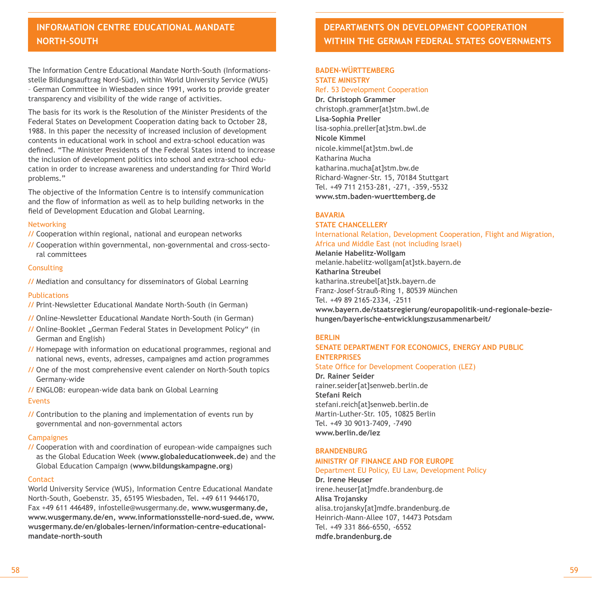### **Information Centre Educational Information Centre Educational Mandate Mandate North-South North-South**

The Information Centre Educational Mandate North-South (Informationsstelle Bildungsauftrag Nord-Süd), within World University Service (WUS) – German Committee in Wiesbaden since 1991, works to provide greater transparency and visibility of the wide range of activities.

The basis for its work is the Resolution of the Minister Presidents of the Federal States on Development Cooperation dating back to October 28, 1988. In this paper the necessity of increased inclusion of development contents in educational work in school and extra-school education was defined. "The Minister Presidents of the Federal States intend to increase the inclusion of development politics into school and extra-school education in order to increase awareness and understanding for Third World problems."

The objective of the Information Centre is to intensify communication and the flow of information as well as to help building networks in the field of Development Education and Global Learning.

#### Networking

**//** Cooperation within regional, national and european networks

**//** Cooperation within governmental, non-governmental and cross-sectoral committees

#### **Consulting**

**//** Mediation and consultancy for disseminators of Global Learning

#### Publications

- **//** Print-Newsletter Educational Mandate North-South (in German)
- **//** Online-Newsletter Educational Mandate North-South (in German)
- **// Online-Booklet "German Federal States in Development Policy" (in** German and English)
- **//** Homepage with information on educational programmes, regional and national news, events, adresses, campaignes amd action programmes
- **//** One of the most comprehensive event calender on North-South topics Germany-wide
- **//** ENGLOB: european-wide data bank on Global Learning

#### Events

**//** Contribution to the planing and implementation of events run by governmental and non-governmental actors

#### Campaignes

**//** Cooperation with and coordination of european-wide campaignes such as the Global Education Week (**www.globaleducationweek.de**) and the Global Education Campaign (**www.bildungskampagne.org**)

#### **Contact**

World University Service (WUS), Information Centre Educational Mandate North-South, Goebenstr. 35, 65195 Wiesbaden, Tel. +49 611 9446170, Fax +49 611 446489, infostelle@wusgermany.de, **www.wusgermany.de, www.wusgermany.de/en, www.informationsstelle-nord-sued.de, www. wusgermany.de/en/globales-lernen/information-centre-educationalmandate-north-south**

### **Departments on development cooperation within the german federal states governments**

#### **Baden-Württemberg STATE MINISTRY**

Ref. 53 Development Cooperation

**Dr. Christoph Grammer**  christoph.grammer[at]stm.bwl.de **Lisa-Sophia Preller** lisa-sophia.preller[at]stm.bwl.de **Nicole Kimmel** nicole.kimmel[at]stm.bwl.de Katharina Mucha katharina.mucha[at]stm.bw.de Richard-Wagner-Str. 15, 70184 Stuttgart Tel. +49 711 2153-281, -271, -359,-5532 **<www.stm.baden-wuerttemberg.de>**

#### **BAVARIA**

#### **state chancellery**  International Relation, Development Cooperation, Flight and Migration,

Africa und Middle East (not including Israel) **Melanie Habelitz-Wollgam** melanie.habelitz-wollgam[at]stk.bayern.de **Katharina Streubel** katharina.streubel[at]stk.bayern.de Franz-Josef-Strauß-Ring 1, 80539 München Tel. +49 89 2165-2334, -2511 **www.bayern.de/staatsregierung/europapolitik-und-regionale-beziehungen/bayerische-entwicklungszusammenarbeit/**

#### **BErlin**

#### **Senate Department for Economics, Energy and Public Enterprises**

State Office for Development Cooperation (LEZ)

**Dr. Rainer Seider** rainer.seider[at]senweb.berlin.de **Stefani Reich** stefani.reich[at]senweb.berlin.de Martin-Luther-Str. 105, 10825 Berlin Tel. +49 30 9013-7409, -7490 **www.berlin.de/lez**

#### **Brandenburg**

#### **Ministry of Finance and For Europe**

#### Department EU Policy, EU Law, Development Policy

**Dr. Irene Heuser** irene.heuser[at]mdfe.brandenburg.de **Alisa Trojansky** alisa.trojansky[at]mdfe.brandenburg.de Heinrich-Mann-Allee 107, 14473 Potsdam Tel. +49 331 866-6550, -6552 **mdfe.brandenburg.de**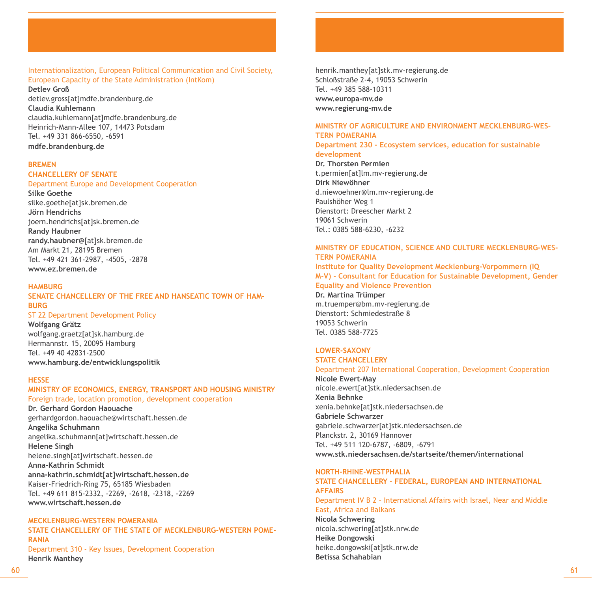#### Internationalization, European Political Communication and Civil Society, European Capacity of the State Administration (IntKom)

**Detlev Groß**  detlev.gross[at]mdfe.brandenburg.de **Claudia Kuhlemann** claudia.kuhlemann[at]mdfe.brandenburg.de Heinrich-Mann-Allee 107, 14473 Potsdam Tel. +49 331 866-6550, -6591 **mdfe.brandenburg.de**

#### **Bremen**

#### **Chancellery of Senate**

#### Department Europe and Development Cooperation

**Silke Goethe** silke.goethe[at]sk.bremen.de **Jörn Hendrichs** joern.hendrichs[at]sk.bremen.de **Randy Haubner randy.haubner@**[at]sk.bremen.de Am Markt 21, 28195 Bremen Tel. +49 421 361-2987, -4505, -2878 **www.ez.bremen.de**

#### **Hamburg**

#### **SENATE chancellery of the free and hanseatic town of hamburg**

ST 22 Department Development Policy

**Wolfgang Grätz**  wolfgang.graetz[at]sk.hamburg.de Hermannstr. 15, 20095 Hamburg Tel. +49 40 42831-2500 **www.hamburg.de/entwicklungspolitik** 

#### **HEsse**

#### **Ministry of economics, energy, transport and Housing ministry** Foreign trade, location promotion, development cooperation

**Dr. Gerhard Gordon Haouache** gerhardgordon.haouache@wirtschaft.hessen.de **Angelika Schuhmann** angelika.schuhmann[at]wirtschaft.hessen.de **Helene Singh** helene.singh[at]wirtschaft.hessen.de **Anna-Kathrin Schmidt anna-kathrin.schmidt[at]wirtschaft.hessen.de** Kaiser-Friedrich-Ring 75, 65185 Wiesbaden Tel. +49 611 815-2332, -2269, -2618, -2318, -2269 **www.wirtschaft.hessen.de**

#### **mecklenburg-western pomerania**

**sTATE cHANCELLERY of the state of mecklenburg-western pomerania**  Department 310 - Key Issues, Development Cooperation **Henrik Manthey** 

henrik.manthey[at]stk.mv-regierung.de Schloßstraße 2-4, 19053 Schwerin Tel. +49 385 588-10311 **www.europa-mv.de www.regierung-mv.de**

#### **Ministry of Agriculture and Environment Mecklenburg-Western Pomerania**

**Department 230 - Ecosystem services, education for sustainable development**

**Dr. Thorsten Permien** t.permien[at]lm.mv-regierung.de **Dirk Niewöhner** d.niewoehner@lm.mv-regierung.de Paulshöher Weg 1 Dienstort: Dreescher Markt 2 19061 Schwerin Tel.: 0385 588-6230, -6232

#### **Ministry of Education, Science and Culture Mecklenburg-Western Pomerania**

**Institute for Quality Development Mecklenburg-Vorpommern (IQ M-V) - Consultant for Education for Sustainable Development, Gender Equality and Violence Prevention**

#### **Dr. Martina Trümper**

m.truemper@bm.mv-regierung.de Dienstort: Schmiedestraße 8 19053 Schwerin Tel. 0385 588-7725

#### **LOWER-SAXONY**

#### **STATE CHANCELLERY**

Department 207 International Cooperation, Development Cooperation

**Nicole Ewert-May** nicole.ewert[at]stk.niedersachsen.de **Xenia Behnke** xenia.behnke[at]stk.niedersachsen.de **Gabriele Schwarzer**  gabriele.schwarzer[at]stk.niedersachsen.de Planckstr. 2, 30169 Hannover Tel. +49 511 120-6787, -6809, -6791 **www.stk.niedersachsen.de/startseite/themen/international**

#### **North-rhine-westphalia**

### **state chancellery - federal, european and InternationaL affairs**

Department IV B 2 – International Affairs with Israel, Near and Middle East, Africa and Balkans

**Nicola Schwering** nicola.schwering[at]stk.nrw.de **Heike Dongowski**  heike.dongowski[at]stk.nrw.de **Betissa Schahabian**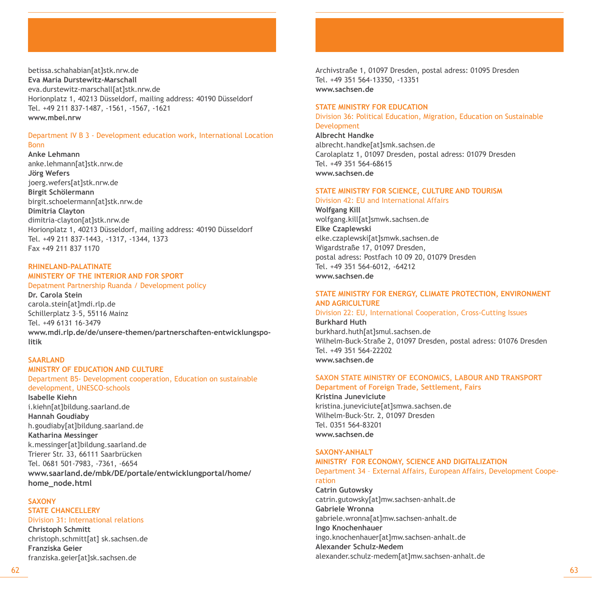betissa.schahabian[at]stk.nrw.de **Eva Maria Durstewitz-Marschall** eva.durstewitz-marschall[at]stk.nrw.de Horionplatz 1, 40213 Düsseldorf, mailing address: 40190 Düsseldorf Tel. +49 211 837-1487, -1561, -1567, -1621 **www.mbei.nrw**

#### Department IV B 3 - Development education work, International Location Bonn

**Anke Lehmann** anke.lehmann[at]stk.nrw.de **Jörg Wefers** joerg.wefers[at]stk.nrw.de **Birgit Schölermann** birgit.schoelermann[at]stk.nrw.de **Dimitria Clayton** dimitria-clayton[at]stk.nrw.de Horionplatz 1, 40213 Düsseldorf, mailing address: 40190 Düsseldorf Tel. +49 211 837-1443, -1317, -1344, 1373 Fax +49 211 837 1170

#### **Rhineland-palatinate**

### **Ministery of the interior And for sport**

#### Depatment Partnership Ruanda / Development policy

**Dr. Carola Stein**  carola.stein[at]mdi.rlp.de Schillerplatz 3–5, 55116 Mainz Tel. +49 6131 16-3479 **www.mdi.rlp.de/de/unsere-themen/partnerschaften-entwicklungspolitik**

#### **Saarland**

#### **ministry of education and culture**

Department B5- Development cooperation, Education on sustainable development, UNESCO-schools **Isabelle Kiehn**

i.kiehn[at]bildung.saarland.de **Hannah Goudiaby** h.goudiaby[at]bildung.saarland.de **Katharina Messinger** k.messinger[at]bildung.saarland.de Trierer Str. 33, 66111 Saarbrücken Tel. 0681 501-7983, -7361, -6654 **www.saarland.de/mbk/DE/portale/entwicklungportal/home/ home\_node.html**

#### **Saxony**

#### **state chancellery** Division 31: International relations

**Christoph Schmitt** christoph.schmitt[at] sk.sachsen.de **Franziska Geier** franziska.geier[at]sk.sachsen.de

Archivstraße 1, 01097 Dresden, postal adress: 01095 Dresden Tel. +49 351 564-13350, -13351 **www.sachsen.de**

#### **State Ministry For education**

Division 36: Political Education, Migration, Education on Sustainable Development

**Albrecht Handke** albrecht.handke[at]smk.sachsen.de Carolaplatz 1, 01097 Dresden, postal adress: 01079 Dresden Tel. +49 351 564-68615 **www.sachsen.de**

#### **State Ministry for Science, Culture and Tourism**

Division 42: EU and International Affairs

**Wolfgang Kill** wolfgang.kill[at]smwk.sachsen.de **Elke Czaplewski** elke.czaplewski[at]smwk.sachsen.de Wigardstraße 17, 01097 Dresden, postal adress: Postfach 10 09 20, 01079 Dresden Tel. +49 351 564-6012, -64212 **www.sachsen.de**

#### **State Ministry for Energy, Climate Protection, Environment and Agriculture**

Division 22: EU, International Cooperation, Cross-Cutting Issues **Burkhard Huth** burkhard.huth[at]smul.sachsen.de Wilhelm-Buck-Straße 2, 01097 Dresden, postal adress: 01076 Dresden

Tel. +49 351 564-22202 **www.sachsen.de**

#### **Saxon State Ministry of Economics, Labour and Transport**

**Department of Foreign Trade, Settlement, Fairs Kristina Juneviciute** kristina.juneviciute[at]smwa.sachsen.de Wilhelm-Buck-Str. 2, 01097 Dresden Tel. 0351 564-83201 **www.sachsen.de**

#### **Saxony-anhalt**

#### **ministry for economY, science and Digitalization**

Department 34 – External Affairs, European Affairs, Development Cooperation **Catrin Gutowsky** catrin.gutowsky[at]mw.sachsen-anhalt.de **Gabriele Wronna**  gabriele.wronna[at]mw.sachsen-anhalt.de **Ingo Knochenhauer** ingo.knochenhauer[at]mw.sachsen-anhalt.de **Alexander Schulz-Medem** alexander.schulz-medem[at]mw.sachsen-anhalt.de